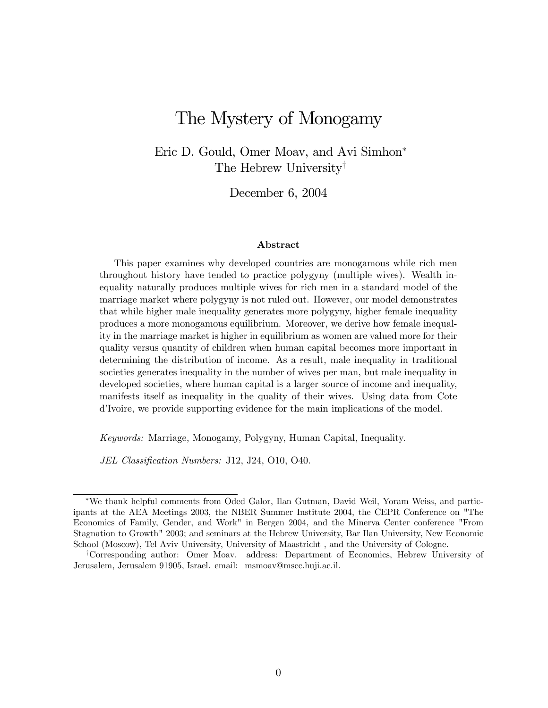# The Mystery of Monogamy

Eric D. Gould, Omer Moav, and Avi Simhon<sup>∗</sup> The Hebrew University†

December 6, 2004

#### Abstract

This paper examines why developed countries are monogamous while rich men throughout history have tended to practice polygyny (multiple wives). Wealth inequality naturally produces multiple wives for rich men in a standard model of the marriage market where polygyny is not ruled out. However, our model demonstrates that while higher male inequality generates more polygyny, higher female inequality produces a more monogamous equilibrium. Moreover, we derive how female inequality in the marriage market is higher in equilibrium as women are valued more for their quality versus quantity of children when human capital becomes more important in determining the distribution of income. As a result, male inequality in traditional societies generates inequality in the number of wives per man, but male inequality in developed societies, where human capital is a larger source of income and inequality, manifests itself as inequality in the quality of their wives. Using data from Cote d'Ivoire, we provide supporting evidence for the main implications of the model.

Keywords: Marriage, Monogamy, Polygyny, Human Capital, Inequality.

JEL Classification Numbers: J12, J24, O10, O40.

<sup>∗</sup>We thank helpful comments from Oded Galor, Ilan Gutman, David Weil, Yoram Weiss, and participants at the AEA Meetings 2003, the NBER Summer Institute 2004, the CEPR Conference on "The Economics of Family, Gender, and Work" in Bergen 2004, and the Minerva Center conference "From Stagnation to Growth" 2003; and seminars at the Hebrew University, Bar Ilan University, New Economic School (Moscow), Tel Aviv University, University of Maastricht , and the University of Cologne.

<sup>†</sup>Corresponding author: Omer Moav. address: Department of Economics, Hebrew University of Jerusalem, Jerusalem 91905, Israel. email: msmoav@mscc.huji.ac.il.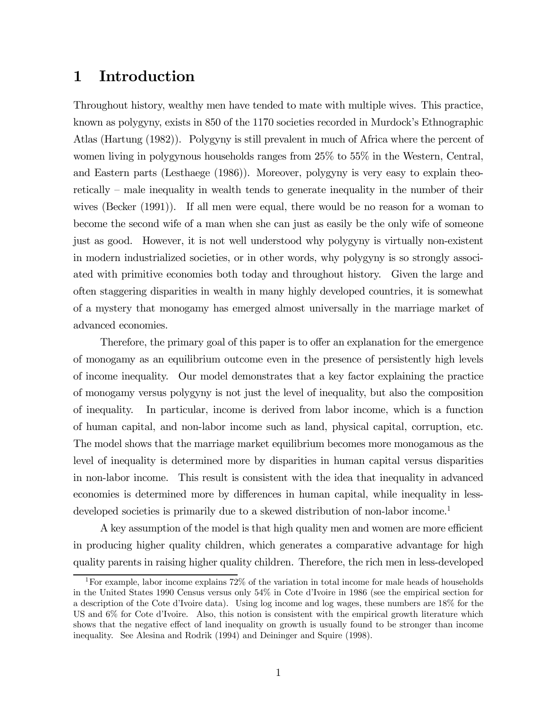## 1 Introduction

Throughout history, wealthy men have tended to mate with multiple wives. This practice, known as polygyny, exists in 850 of the 1170 societies recorded in Murdock's Ethnographic Atlas (Hartung (1982)). Polygyny is still prevalent in much of Africa where the percent of women living in polygynous households ranges from 25% to 55% in the Western, Central, and Eastern parts (Lesthaege (1986)). Moreover, polygyny is very easy to explain theoretically — male inequality in wealth tends to generate inequality in the number of their wives (Becker (1991)). If all men were equal, there would be no reason for a woman to become the second wife of a man when she can just as easily be the only wife of someone just as good. However, it is not well understood why polygyny is virtually non-existent in modern industrialized societies, or in other words, why polygyny is so strongly associated with primitive economies both today and throughout history. Given the large and often staggering disparities in wealth in many highly developed countries, it is somewhat of a mystery that monogamy has emerged almost universally in the marriage market of advanced economies.

Therefore, the primary goal of this paper is to offer an explanation for the emergence of monogamy as an equilibrium outcome even in the presence of persistently high levels of income inequality. Our model demonstrates that a key factor explaining the practice of monogamy versus polygyny is not just the level of inequality, but also the composition of inequality. In particular, income is derived from labor income, which is a function of human capital, and non-labor income such as land, physical capital, corruption, etc. The model shows that the marriage market equilibrium becomes more monogamous as the level of inequality is determined more by disparities in human capital versus disparities in non-labor income. This result is consistent with the idea that inequality in advanced economies is determined more by differences in human capital, while inequality in lessdeveloped societies is primarily due to a skewed distribution of non-labor income.<sup>1</sup>

A key assumption of the model is that high quality men and women are more efficient in producing higher quality children, which generates a comparative advantage for high quality parents in raising higher quality children. Therefore, the rich men in less-developed

<sup>&</sup>lt;sup>1</sup>For example, labor income explains 72% of the variation in total income for male heads of households in the United States 1990 Census versus only 54% in Cote d'Ivoire in 1986 (see the empirical section for a description of the Cote d'Ivoire data). Using log income and log wages, these numbers are 18% for the US and 6% for Cote d'Ivoire. Also, this notion is consistent with the empirical growth literature which shows that the negative effect of land inequality on growth is usually found to be stronger than income inequality. See Alesina and Rodrik (1994) and Deininger and Squire (1998).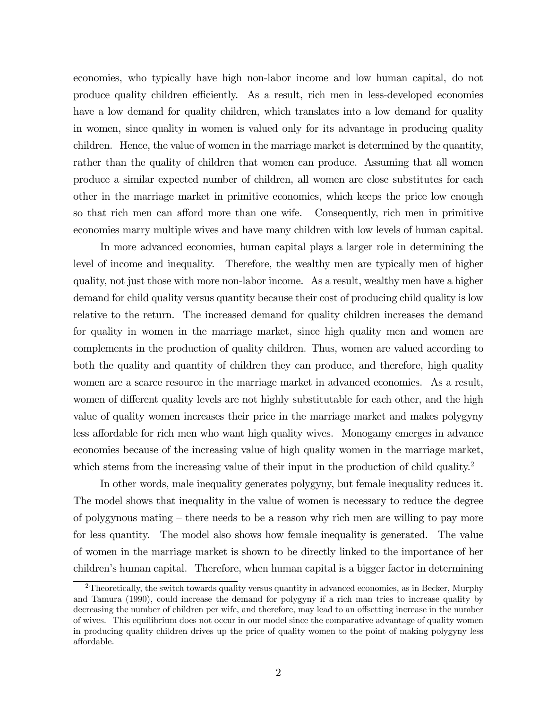economies, who typically have high non-labor income and low human capital, do not produce quality children efficiently. As a result, rich men in less-developed economies have a low demand for quality children, which translates into a low demand for quality in women, since quality in women is valued only for its advantage in producing quality children. Hence, the value of women in the marriage market is determined by the quantity, rather than the quality of children that women can produce. Assuming that all women produce a similar expected number of children, all women are close substitutes for each other in the marriage market in primitive economies, which keeps the price low enough so that rich men can afford more than one wife. Consequently, rich men in primitive economies marry multiple wives and have many children with low levels of human capital.

In more advanced economies, human capital plays a larger role in determining the level of income and inequality. Therefore, the wealthy men are typically men of higher quality, not just those with more non-labor income. As a result, wealthy men have a higher demand for child quality versus quantity because their cost of producing child quality is low relative to the return. The increased demand for quality children increases the demand for quality in women in the marriage market, since high quality men and women are complements in the production of quality children. Thus, women are valued according to both the quality and quantity of children they can produce, and therefore, high quality women are a scarce resource in the marriage market in advanced economies. As a result, women of different quality levels are not highly substitutable for each other, and the high value of quality women increases their price in the marriage market and makes polygyny less affordable for rich men who want high quality wives. Monogamy emerges in advance economies because of the increasing value of high quality women in the marriage market, which stems from the increasing value of their input in the production of child quality.<sup>2</sup>

In other words, male inequality generates polygyny, but female inequality reduces it. The model shows that inequality in the value of women is necessary to reduce the degree of polygynous mating — there needs to be a reason why rich men are willing to pay more for less quantity. The model also shows how female inequality is generated. The value of women in the marriage market is shown to be directly linked to the importance of her children's human capital. Therefore, when human capital is a bigger factor in determining

<sup>2</sup>Theoretically, the switch towards quality versus quantity in advanced economies, as in Becker, Murphy and Tamura (1990), could increase the demand for polygyny if a rich man tries to increase quality by decreasing the number of children per wife, and therefore, may lead to an offsetting increase in the number of wives. This equilibrium does not occur in our model since the comparative advantage of quality women in producing quality children drives up the price of quality women to the point of making polygyny less affordable.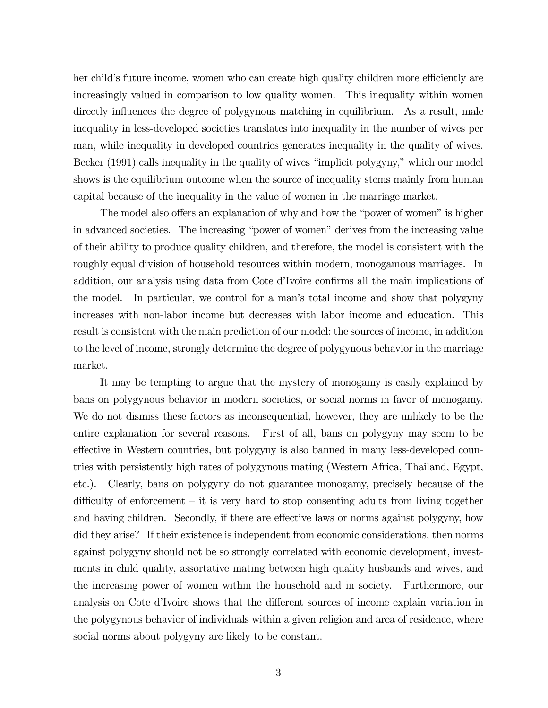her child's future income, women who can create high quality children more efficiently are increasingly valued in comparison to low quality women. This inequality within women directly influences the degree of polygynous matching in equilibrium. As a result, male inequality in less-developed societies translates into inequality in the number of wives per man, while inequality in developed countries generates inequality in the quality of wives. Becker (1991) calls inequality in the quality of wives "implicit polygyny," which our model shows is the equilibrium outcome when the source of inequality stems mainly from human capital because of the inequality in the value of women in the marriage market.

The model also offers an explanation of why and how the "power of women" is higher in advanced societies. The increasing "power of women" derives from the increasing value of their ability to produce quality children, and therefore, the model is consistent with the roughly equal division of household resources within modern, monogamous marriages. In addition, our analysis using data from Cote d'Ivoire confirms all the main implications of the model. In particular, we control for a man's total income and show that polygyny increases with non-labor income but decreases with labor income and education. This result is consistent with the main prediction of our model: the sources of income, in addition to the level of income, strongly determine the degree of polygynous behavior in the marriage market.

It may be tempting to argue that the mystery of monogamy is easily explained by bans on polygynous behavior in modern societies, or social norms in favor of monogamy. We do not dismiss these factors as inconsequential, however, they are unlikely to be the entire explanation for several reasons. First of all, bans on polygyny may seem to be effective in Western countries, but polygyny is also banned in many less-developed countries with persistently high rates of polygynous mating (Western Africa, Thailand, Egypt, etc.). Clearly, bans on polygyny do not guarantee monogamy, precisely because of the difficulty of enforcement — it is very hard to stop consenting adults from living together and having children. Secondly, if there are effective laws or norms against polygyny, how did they arise? If their existence is independent from economic considerations, then norms against polygyny should not be so strongly correlated with economic development, investments in child quality, assortative mating between high quality husbands and wives, and the increasing power of women within the household and in society. Furthermore, our analysis on Cote d'Ivoire shows that the different sources of income explain variation in the polygynous behavior of individuals within a given religion and area of residence, where social norms about polygyny are likely to be constant.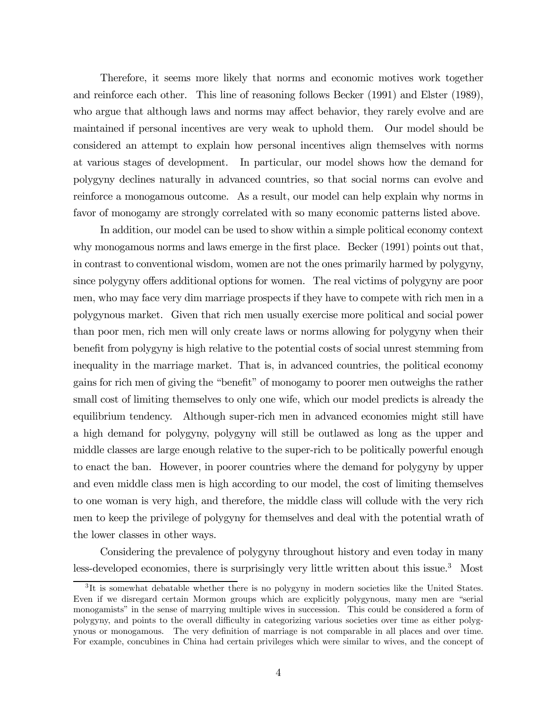Therefore, it seems more likely that norms and economic motives work together and reinforce each other. This line of reasoning follows Becker (1991) and Elster (1989), who argue that although laws and norms may affect behavior, they rarely evolve and are maintained if personal incentives are very weak to uphold them. Our model should be considered an attempt to explain how personal incentives align themselves with norms at various stages of development. In particular, our model shows how the demand for polygyny declines naturally in advanced countries, so that social norms can evolve and reinforce a monogamous outcome. As a result, our model can help explain why norms in favor of monogamy are strongly correlated with so many economic patterns listed above.

In addition, our model can be used to show within a simple political economy context why monogamous norms and laws emerge in the first place. Becker (1991) points out that, in contrast to conventional wisdom, women are not the ones primarily harmed by polygyny, since polygyny offers additional options for women. The real victims of polygyny are poor men, who may face very dim marriage prospects if they have to compete with rich men in a polygynous market. Given that rich men usually exercise more political and social power than poor men, rich men will only create laws or norms allowing for polygyny when their benefit from polygyny is high relative to the potential costs of social unrest stemming from inequality in the marriage market. That is, in advanced countries, the political economy gains for rich men of giving the "benefit" of monogamy to poorer men outweighs the rather small cost of limiting themselves to only one wife, which our model predicts is already the equilibrium tendency. Although super-rich men in advanced economies might still have a high demand for polygyny, polygyny will still be outlawed as long as the upper and middle classes are large enough relative to the super-rich to be politically powerful enough to enact the ban. However, in poorer countries where the demand for polygyny by upper and even middle class men is high according to our model, the cost of limiting themselves to one woman is very high, and therefore, the middle class will collude with the very rich men to keep the privilege of polygyny for themselves and deal with the potential wrath of the lower classes in other ways.

Considering the prevalence of polygyny throughout history and even today in many less-developed economies, there is surprisingly very little written about this issue.3 Most

<sup>&</sup>lt;sup>3</sup>It is somewhat debatable whether there is no polygyny in modern societies like the United States. Even if we disregard certain Mormon groups which are explicitly polygynous, many men are "serial monogamists" in the sense of marrying multiple wives in succession. This could be considered a form of polygyny, and points to the overall difficulty in categorizing various societies over time as either polygynous or monogamous. The very definition of marriage is not comparable in all places and over time. For example, concubines in China had certain privileges which were similar to wives, and the concept of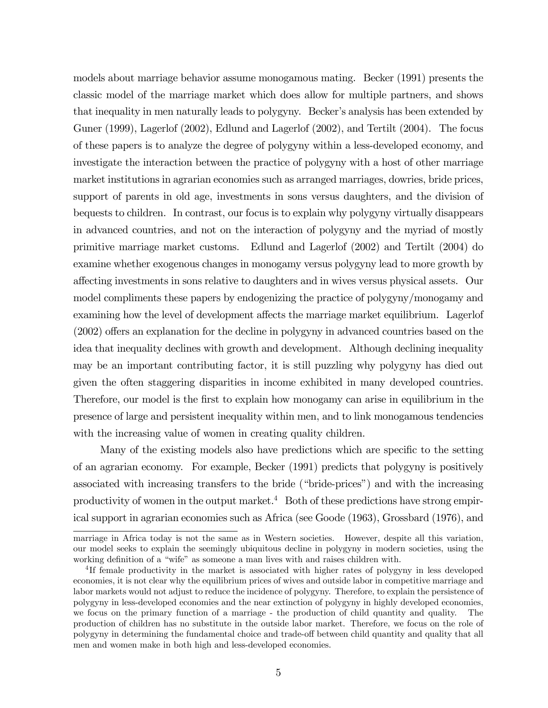models about marriage behavior assume monogamous mating. Becker (1991) presents the classic model of the marriage market which does allow for multiple partners, and shows that inequality in men naturally leads to polygyny. Becker's analysis has been extended by Guner (1999), Lagerlof (2002), Edlund and Lagerlof (2002), and Tertilt (2004). The focus of these papers is to analyze the degree of polygyny within a less-developed economy, and investigate the interaction between the practice of polygyny with a host of other marriage market institutions in agrarian economies such as arranged marriages, dowries, bride prices, support of parents in old age, investments in sons versus daughters, and the division of bequests to children. In contrast, our focus is to explain why polygyny virtually disappears in advanced countries, and not on the interaction of polygyny and the myriad of mostly primitive marriage market customs. Edlund and Lagerlof (2002) and Tertilt (2004) do examine whether exogenous changes in monogamy versus polygyny lead to more growth by affecting investments in sons relative to daughters and in wives versus physical assets. Our model compliments these papers by endogenizing the practice of polygyny/monogamy and examining how the level of development affects the marriage market equilibrium. Lagerlof (2002) offers an explanation for the decline in polygyny in advanced countries based on the idea that inequality declines with growth and development. Although declining inequality may be an important contributing factor, it is still puzzling why polygyny has died out given the often staggering disparities in income exhibited in many developed countries. Therefore, our model is the first to explain how monogamy can arise in equilibrium in the presence of large and persistent inequality within men, and to link monogamous tendencies with the increasing value of women in creating quality children.

Many of the existing models also have predictions which are specific to the setting of an agrarian economy. For example, Becker (1991) predicts that polygyny is positively associated with increasing transfers to the bride ("bride-prices") and with the increasing productivity of women in the output market. $4$  Both of these predictions have strong empirical support in agrarian economies such as Africa (see Goode (1963), Grossbard (1976), and

marriage in Africa today is not the same as in Western societies. However, despite all this variation, our model seeks to explain the seemingly ubiquitous decline in polygyny in modern societies, using the working definition of a "wife" as someone a man lives with and raises children with.

<sup>4</sup> If female productivity in the market is associated with higher rates of polygyny in less developed economies, it is not clear why the equilibrium prices of wives and outside labor in competitive marriage and labor markets would not adjust to reduce the incidence of polygyny. Therefore, to explain the persistence of polygyny in less-developed economies and the near extinction of polygyny in highly developed economies, we focus on the primary function of a marriage - the production of child quantity and quality. The production of children has no substitute in the outside labor market. Therefore, we focus on the role of polygyny in determining the fundamental choice and trade-off between child quantity and quality that all men and women make in both high and less-developed economies.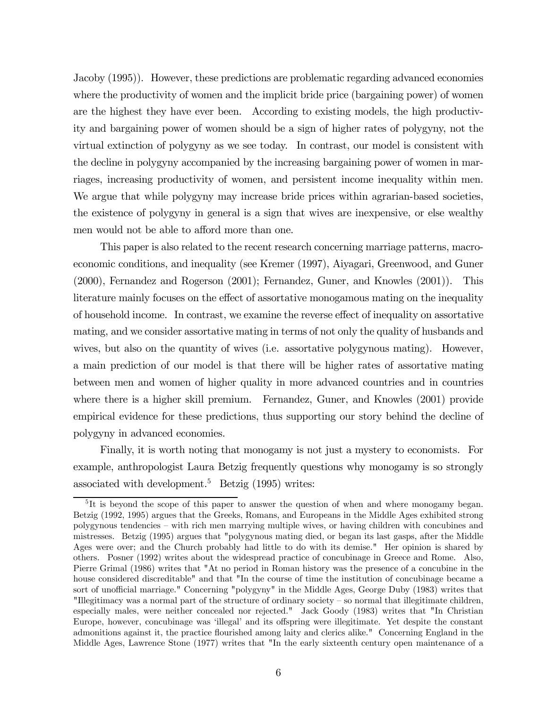Jacoby (1995)). However, these predictions are problematic regarding advanced economies where the productivity of women and the implicit bride price (bargaining power) of women are the highest they have ever been. According to existing models, the high productivity and bargaining power of women should be a sign of higher rates of polygyny, not the virtual extinction of polygyny as we see today. In contrast, our model is consistent with the decline in polygyny accompanied by the increasing bargaining power of women in marriages, increasing productivity of women, and persistent income inequality within men. We argue that while polygyny may increase bride prices within agrarian-based societies, the existence of polygyny in general is a sign that wives are inexpensive, or else wealthy men would not be able to afford more than one.

This paper is also related to the recent research concerning marriage patterns, macroeconomic conditions, and inequality (see Kremer (1997), Aiyagari, Greenwood, and Guner (2000), Fernandez and Rogerson (2001); Fernandez, Guner, and Knowles (2001)). This literature mainly focuses on the effect of assortative monogamous mating on the inequality of household income. In contrast, we examine the reverse effect of inequality on assortative mating, and we consider assortative mating in terms of not only the quality of husbands and wives, but also on the quantity of wives (i.e. assortative polygynous mating). However, a main prediction of our model is that there will be higher rates of assortative mating between men and women of higher quality in more advanced countries and in countries where there is a higher skill premium. Fernandez, Guner, and Knowles (2001) provide empirical evidence for these predictions, thus supporting our story behind the decline of polygyny in advanced economies.

Finally, it is worth noting that monogamy is not just a mystery to economists. For example, anthropologist Laura Betzig frequently questions why monogamy is so strongly associated with development.<sup>5</sup> Betzig (1995) writes:

 ${}^{5}$ It is beyond the scope of this paper to answer the question of when and where monogamy began. Betzig (1992, 1995) argues that the Greeks, Romans, and Europeans in the Middle Ages exhibited strong polygynous tendencies — with rich men marrying multiple wives, or having children with concubines and mistresses. Betzig (1995) argues that "polygynous mating died, or began its last gasps, after the Middle Ages were over; and the Church probably had little to do with its demise." Her opinion is shared by others. Posner (1992) writes about the widespread practice of concubinage in Greece and Rome. Also, Pierre Grimal (1986) writes that "At no period in Roman history was the presence of a concubine in the house considered discreditable" and that "In the course of time the institution of concubinage became a sort of unofficial marriage." Concerning "polygyny" in the Middle Ages, George Duby (1983) writes that "Illegitimacy was a normal part of the structure of ordinary society — so normal that illegitimate children, especially males, were neither concealed nor rejected." Jack Goody (1983) writes that "In Christian Europe, however, concubinage was 'illegal' and its offspring were illegitimate. Yet despite the constant admonitions against it, the practice flourished among laity and clerics alike." Concerning England in the Middle Ages, Lawrence Stone (1977) writes that "In the early sixteenth century open maintenance of a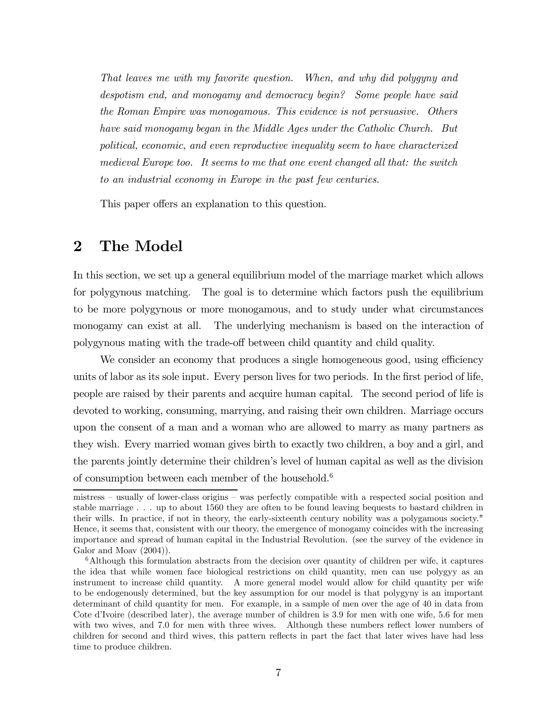That leaves me with my favorite question. When, and why did polygyny and despotism end, and monogamy and democracy begin? Some people have said the Roman Empire was monogamous. This evidence is not persuasive. Others have said monogamy began in the Middle Ages under the Catholic Church. But political, economic, and even reproductive inequality seem to have characterized medieval Europe too. It seems to me that one event changed all that: the switch to an industrial economy in Europe in the past few centuries.

This paper offers an explanation to this question.

## 2 The Model

In this section, we set up a general equilibrium model of the marriage market which allows for polygynous matching. The goal is to determine which factors push the equilibrium to be more polygynous or more monogamous, and to study under what circumstances monogamy can exist at all. The underlying mechanism is based on the interaction of polygynous mating with the trade-off between child quantity and child quality.

We consider an economy that produces a single homogeneous good, using efficiency units of labor as its sole input. Every person lives for two periods. In the first period of life, people are raised by their parents and acquire human capital. The second period of life is devoted to working, consuming, marrying, and raising their own children. Marriage occurs upon the consent of a man and a woman who are allowed to marry as many partners as they wish. Every married woman gives birth to exactly two children, a boy and a girl, and the parents jointly determine their children's level of human capital as well as the division of consumption between each member of the household.<sup>6</sup>

mistress — usually of lower-class origins — was perfectly compatible with a respected social position and stable marriage . . . up to about 1560 they are often to be found leaving bequests to bastard children in their wills. In practice, if not in theory, the early-sixteenth century nobility was a polygamous society." Hence, it seems that, consistent with our theory, the emergence of monogamy coincides with the increasing importance and spread of human capital in the Industrial Revolution. (see the survey of the evidence in Galor and Moav (2004)).

 $6$ Although this formulation abstracts from the decision over quantity of children per wife, it captures the idea that while women face biological restrictions on child quantity, men can use polygyy as an instrument to increase child quantity. A more general model would allow for child quantity per wife to be endogenously determined, but the key assumption for our model is that polygyny is an important determinant of child quantity for men. For example, in a sample of men over the age of 40 in data from Cote d'Ivoire (described later), the average number of children is 3.9 for men with one wife, 5.6 for men with two wives, and 7.0 for men with three wives. Although these numbers reflect lower numbers of children for second and third wives, this pattern reflects in part the fact that later wives have had less time to produce children.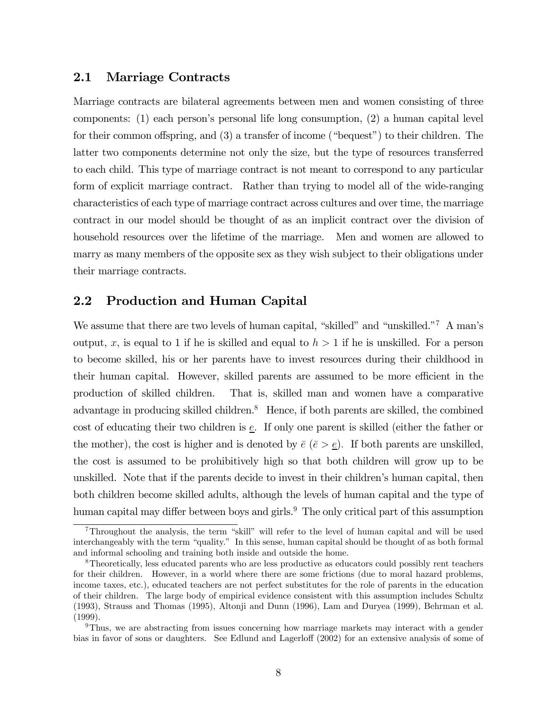#### 2.1 Marriage Contracts

Marriage contracts are bilateral agreements between men and women consisting of three components: (1) each person's personal life long consumption, (2) a human capital level for their common offspring, and (3) a transfer of income ("bequest") to their children. The latter two components determine not only the size, but the type of resources transferred to each child. This type of marriage contract is not meant to correspond to any particular form of explicit marriage contract. Rather than trying to model all of the wide-ranging characteristics of each type of marriage contract across cultures and over time, the marriage contract in our model should be thought of as an implicit contract over the division of household resources over the lifetime of the marriage. Men and women are allowed to marry as many members of the opposite sex as they wish subject to their obligations under their marriage contracts.

#### 2.2 Production and Human Capital

We assume that there are two levels of human capital, "skilled" and "unskilled."<sup>7</sup> A man's output, x, is equal to 1 if he is skilled and equal to  $h > 1$  if he is unskilled. For a person to become skilled, his or her parents have to invest resources during their childhood in their human capital. However, skilled parents are assumed to be more efficient in the production of skilled children. That is, skilled man and women have a comparative advantage in producing skilled children.<sup>8</sup> Hence, if both parents are skilled, the combined cost of educating their two children is  $e$ . If only one parent is skilled (either the father or the mother), the cost is higher and is denoted by  $\bar{e}$  ( $\bar{e} > \underline{e}$ ). If both parents are unskilled, the cost is assumed to be prohibitively high so that both children will grow up to be unskilled. Note that if the parents decide to invest in their children's human capital, then both children become skilled adults, although the levels of human capital and the type of human capital may differ between boys and girls.<sup>9</sup> The only critical part of this assumption

<sup>7</sup>Throughout the analysis, the term "skill" will refer to the level of human capital and will be used interchangeably with the term "quality." In this sense, human capital should be thought of as both formal and informal schooling and training both inside and outside the home.

<sup>8</sup>Theoretically, less educated parents who are less productive as educators could possibly rent teachers for their children. However, in a world where there are some frictions (due to moral hazard problems, income taxes, etc.), educated teachers are not perfect substitutes for the role of parents in the education of their children. The large body of empirical evidence consistent with this assumption includes Schultz (1993), Strauss and Thomas (1995), Altonji and Dunn (1996), Lam and Duryea (1999), Behrman et al. (1999).

<sup>&</sup>lt;sup>9</sup>Thus, we are abstracting from issues concerning how marriage markets may interact with a gender bias in favor of sons or daughters. See Edlund and Lagerloff (2002) for an extensive analysis of some of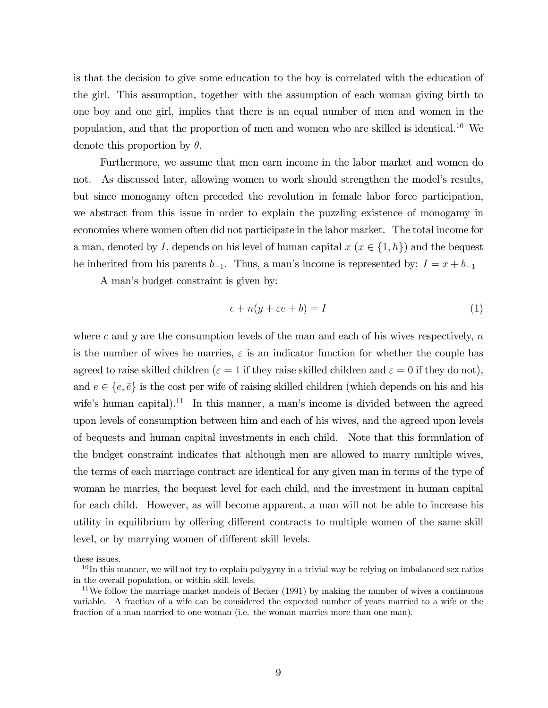is that the decision to give some education to the boy is correlated with the education of the girl. This assumption, together with the assumption of each woman giving birth to one boy and one girl, implies that there is an equal number of men and women in the population, and that the proportion of men and women who are skilled is identical.10 We denote this proportion by  $\theta$ .

Furthermore, we assume that men earn income in the labor market and women do not. As discussed later, allowing women to work should strengthen the model's results, but since monogamy often preceded the revolution in female labor force participation, we abstract from this issue in order to explain the puzzling existence of monogamy in economies where women often did not participate in the labor market. The total income for a man, denoted by I, depends on his level of human capital  $x (x \in \{1, h\})$  and the bequest he inherited from his parents  $b_{-1}$ . Thus, a man's income is represented by:  $I = x + b_{-1}$ 

A man's budget constraint is given by:

$$
c + n(y + \varepsilon e + b) = I \tag{1}
$$

where c and y are the consumption levels of the man and each of his wives respectively,  $n$ is the number of wives he marries,  $\varepsilon$  is an indicator function for whether the couple has agreed to raise skilled children ( $\varepsilon = 1$  if they raise skilled children and  $\varepsilon = 0$  if they do not), and  $e \in \{\underline{e}, \overline{e}\}\$ is the cost per wife of raising skilled children (which depends on his and his wife's human capital).<sup>11</sup> In this manner, a man's income is divided between the agreed upon levels of consumption between him and each of his wives, and the agreed upon levels of bequests and human capital investments in each child. Note that this formulation of the budget constraint indicates that although men are allowed to marry multiple wives, the terms of each marriage contract are identical for any given man in terms of the type of woman he marries, the bequest level for each child, and the investment in human capital for each child. However, as will become apparent, a man will not be able to increase his utility in equilibrium by offering different contracts to multiple women of the same skill level, or by marrying women of different skill levels.

these issues.

 $10$  In this manner, we will not try to explain polygyny in a trivial way be relying on imbalanced sex ratios in the overall population, or within skill levels.

<sup>&</sup>lt;sup>11</sup>We follow the marriage market models of Becker  $(1991)$  by making the number of wives a continuous variable. A fraction of a wife can be considered the expected number of years married to a wife or the fraction of a man married to one woman (i.e. the woman marries more than one man).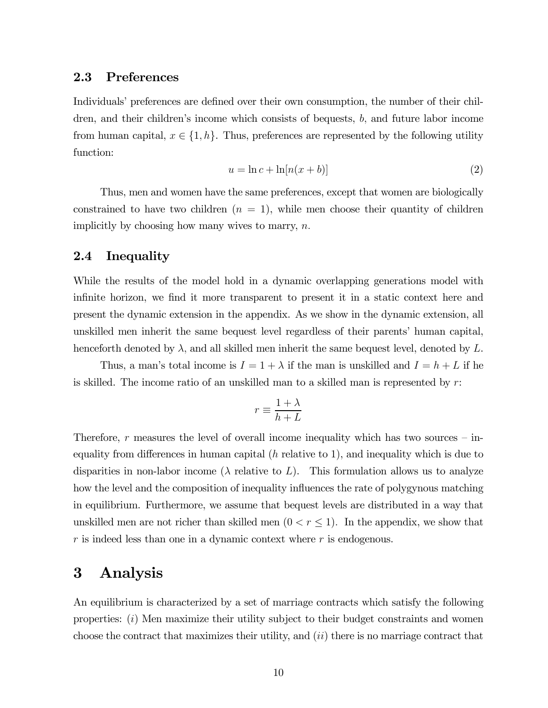#### 2.3 Preferences

Individuals' preferences are defined over their own consumption, the number of their children, and their children's income which consists of bequests, b, and future labor income from human capital,  $x \in \{1, h\}$ . Thus, preferences are represented by the following utility function:

$$
u = \ln c + \ln[n(x+b)]\tag{2}
$$

Thus, men and women have the same preferences, except that women are biologically constrained to have two children  $(n = 1)$ , while men choose their quantity of children implicitly by choosing how many wives to marry,  $n$ .

#### 2.4 Inequality

While the results of the model hold in a dynamic overlapping generations model with infinite horizon, we find it more transparent to present it in a static context here and present the dynamic extension in the appendix. As we show in the dynamic extension, all unskilled men inherit the same bequest level regardless of their parents' human capital, henceforth denoted by  $\lambda$ , and all skilled men inherit the same bequest level, denoted by  $L$ .

Thus, a man's total income is  $I = 1 + \lambda$  if the man is unskilled and  $I = h + L$  if he is skilled. The income ratio of an unskilled man to a skilled man is represented by  $r$ :

$$
r \equiv \frac{1+\lambda}{h+L}
$$

Therefore,  $r$  measures the level of overall income inequality which has two sources  $-$  inequality from differences in human capital (h relative to 1), and inequality which is due to disparities in non-labor income ( $\lambda$  relative to L). This formulation allows us to analyze how the level and the composition of inequality influences the rate of polygynous matching in equilibrium. Furthermore, we assume that bequest levels are distributed in a way that unskilled men are not richer than skilled men  $(0 < r \leq 1)$ . In the appendix, we show that  $r$  is indeed less than one in a dynamic context where  $r$  is endogenous.

## 3 Analysis

An equilibrium is characterized by a set of marriage contracts which satisfy the following properties:  $(i)$  Men maximize their utility subject to their budget constraints and women choose the contract that maximizes their utility, and  $(ii)$  there is no marriage contract that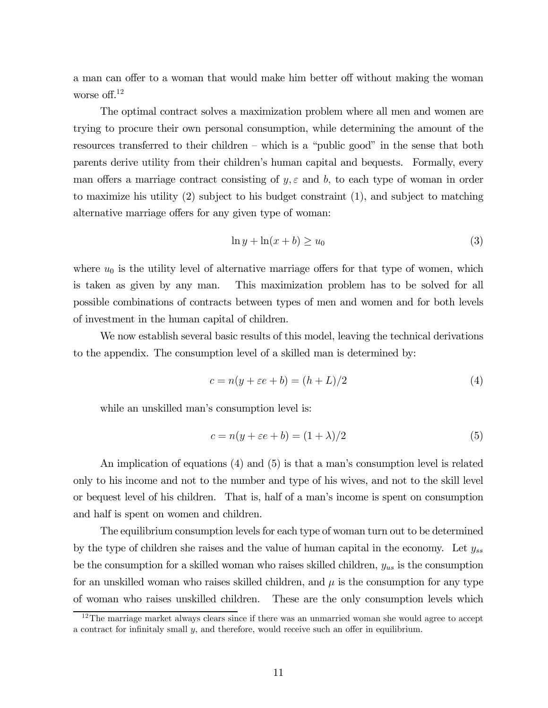a man can offer to a woman that would make him better off without making the woman worse off.<sup>12</sup>

The optimal contract solves a maximization problem where all men and women are trying to procure their own personal consumption, while determining the amount of the resources transferred to their children — which is a "public good" in the sense that both parents derive utility from their children's human capital and bequests. Formally, every man offers a marriage contract consisting of  $y, \varepsilon$  and b, to each type of woman in order to maximize his utility (2) subject to his budget constraint (1), and subject to matching alternative marriage offers for any given type of woman:

$$
\ln y + \ln(x + b) \ge u_0 \tag{3}
$$

where  $u_0$  is the utility level of alternative marriage offers for that type of women, which is taken as given by any man. This maximization problem has to be solved for all possible combinations of contracts between types of men and women and for both levels of investment in the human capital of children.

We now establish several basic results of this model, leaving the technical derivations to the appendix. The consumption level of a skilled man is determined by:

$$
c = n(y + \varepsilon e + b) = (h + L)/2 \tag{4}
$$

while an unskilled man's consumption level is:

$$
c = n(y + \varepsilon e + b) = (1 + \lambda)/2 \tag{5}
$$

An implication of equations (4) and (5) is that a man's consumption level is related only to his income and not to the number and type of his wives, and not to the skill level or bequest level of his children. That is, half of a man's income is spent on consumption and half is spent on women and children.

The equilibrium consumption levels for each type of woman turn out to be determined by the type of children she raises and the value of human capital in the economy. Let  $y_{ss}$ be the consumption for a skilled woman who raises skilled children,  $y_{us}$  is the consumption for an unskilled woman who raises skilled children, and  $\mu$  is the consumption for any type of woman who raises unskilled children. These are the only consumption levels which

 $12$ The marriage market always clears since if there was an unmarried woman she would agree to accept a contract for infinitaly small y, and therefore, would receive such an offer in equilibrium.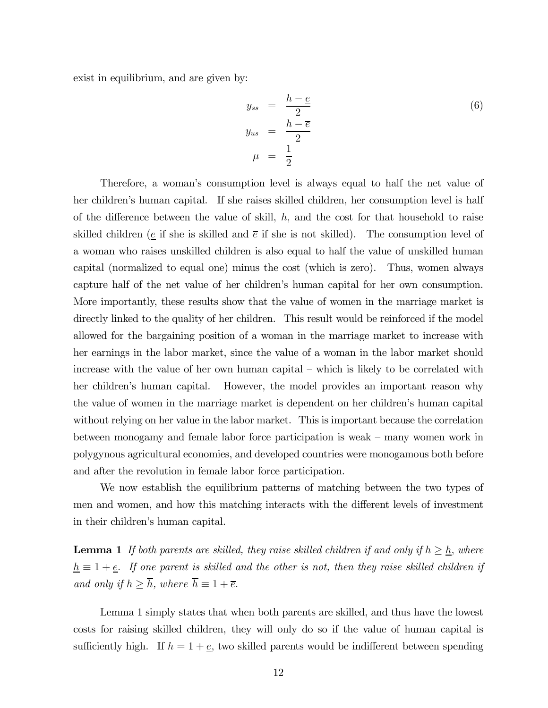exist in equilibrium, and are given by:

$$
y_{ss} = \frac{h - \underline{e}}{2}
$$
  
\n
$$
y_{us} = \frac{h - \overline{e}}{2}
$$
  
\n
$$
\mu = \frac{1}{2}
$$
\n(6)

Therefore, a woman's consumption level is always equal to half the net value of her children's human capital. If she raises skilled children, her consumption level is half of the difference between the value of skill,  $h$ , and the cost for that household to raise skilled children ( $\underline{e}$  if she is skilled and  $\overline{e}$  if she is not skilled). The consumption level of a woman who raises unskilled children is also equal to half the value of unskilled human capital (normalized to equal one) minus the cost (which is zero). Thus, women always capture half of the net value of her children's human capital for her own consumption. More importantly, these results show that the value of women in the marriage market is directly linked to the quality of her children. This result would be reinforced if the model allowed for the bargaining position of a woman in the marriage market to increase with her earnings in the labor market, since the value of a woman in the labor market should increase with the value of her own human capital — which is likely to be correlated with her children's human capital. However, the model provides an important reason why the value of women in the marriage market is dependent on her children's human capital without relying on her value in the labor market. This is important because the correlation between monogamy and female labor force participation is weak — many women work in polygynous agricultural economies, and developed countries were monogamous both before and after the revolution in female labor force participation.

We now establish the equilibrium patterns of matching between the two types of men and women, and how this matching interacts with the different levels of investment in their children's human capital.

**Lemma 1** If both parents are skilled, they raise skilled children if and only if  $h \geq \underline{h}$ , where  $h \equiv 1 + \underline{e}$ . If one parent is skilled and the other is not, then they raise skilled children if and only if  $h \geq \overline{h}$ , where  $\overline{h} \equiv 1 + \overline{e}$ .

Lemma 1 simply states that when both parents are skilled, and thus have the lowest costs for raising skilled children, they will only do so if the value of human capital is sufficiently high. If  $h = 1 + \underline{e}$ , two skilled parents would be indifferent between spending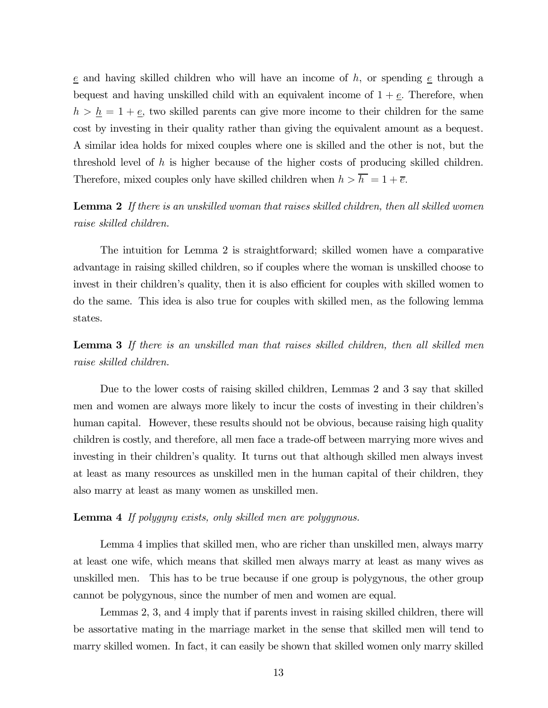$e$  and having skilled children who will have an income of h, or spending  $e$  through a bequest and having unskilled child with an equivalent income of  $1 + \underline{e}$ . Therefore, when  $h > \underline{h} = 1 + \underline{e}$ , two skilled parents can give more income to their children for the same cost by investing in their quality rather than giving the equivalent amount as a bequest. A similar idea holds for mixed couples where one is skilled and the other is not, but the threshold level of  $h$  is higher because of the higher costs of producing skilled children. Therefore, mixed couples only have skilled children when  $h > \overline{h} = 1 + \overline{e}$ .

Lemma 2 If there is an unskilled woman that raises skilled children, then all skilled women raise skilled children.

The intuition for Lemma 2 is straightforward; skilled women have a comparative advantage in raising skilled children, so if couples where the woman is unskilled choose to invest in their children's quality, then it is also efficient for couples with skilled women to do the same. This idea is also true for couples with skilled men, as the following lemma states.

**Lemma 3** If there is an unskilled man that raises skilled children, then all skilled men raise skilled children.

Due to the lower costs of raising skilled children, Lemmas 2 and 3 say that skilled men and women are always more likely to incur the costs of investing in their children's human capital. However, these results should not be obvious, because raising high quality children is costly, and therefore, all men face a trade-off between marrying more wives and investing in their children's quality. It turns out that although skilled men always invest at least as many resources as unskilled men in the human capital of their children, they also marry at least as many women as unskilled men.

#### Lemma 4 If polygyny exists, only skilled men are polygynous.

Lemma 4 implies that skilled men, who are richer than unskilled men, always marry at least one wife, which means that skilled men always marry at least as many wives as unskilled men. This has to be true because if one group is polygynous, the other group cannot be polygynous, since the number of men and women are equal.

Lemmas 2, 3, and 4 imply that if parents invest in raising skilled children, there will be assortative mating in the marriage market in the sense that skilled men will tend to marry skilled women. In fact, it can easily be shown that skilled women only marry skilled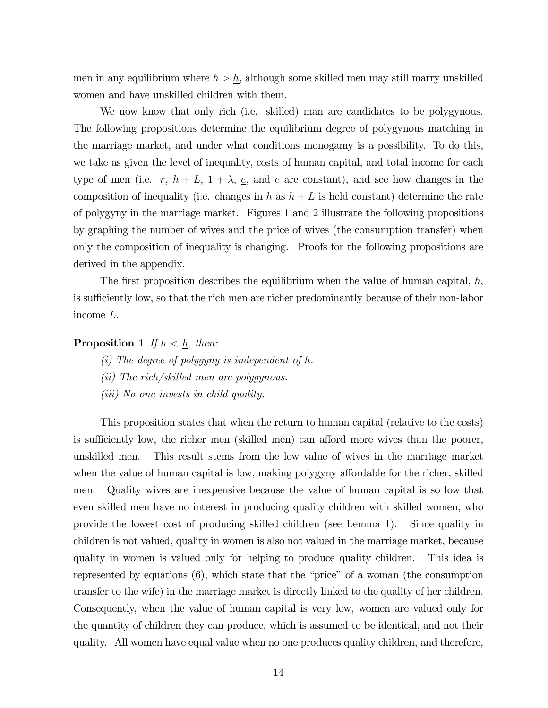men in any equilibrium where  $h > h$ , although some skilled men may still marry unskilled women and have unskilled children with them.

We now know that only rich (i.e. skilled) man are candidates to be polygynous. The following propositions determine the equilibrium degree of polygynous matching in the marriage market, and under what conditions monogamy is a possibility. To do this, we take as given the level of inequality, costs of human capital, and total income for each type of men (i.e. r,  $h + L$ ,  $1 + \lambda$ ,  $e$ , and  $\overline{e}$  are constant), and see how changes in the composition of inequality (i.e. changes in h as  $h + L$  is held constant) determine the rate of polygyny in the marriage market. Figures 1 and 2 illustrate the following propositions by graphing the number of wives and the price of wives (the consumption transfer) when only the composition of inequality is changing. Proofs for the following propositions are derived in the appendix.

The first proposition describes the equilibrium when the value of human capital,  $h$ , is sufficiently low, so that the rich men are richer predominantly because of their non-labor income L.

#### **Proposition 1** If  $h < h$ , then:

- (i) The degree of polygyny is independent of  $h$ .
- (ii) The rich/skilled men are polygynous.
- (iii) No one invests in child quality.

This proposition states that when the return to human capital (relative to the costs) is sufficiently low, the richer men (skilled men) can afford more wives than the poorer, unskilled men. This result stems from the low value of wives in the marriage market when the value of human capital is low, making polygyny affordable for the richer, skilled men. Quality wives are inexpensive because the value of human capital is so low that even skilled men have no interest in producing quality children with skilled women, who provide the lowest cost of producing skilled children (see Lemma 1). Since quality in children is not valued, quality in women is also not valued in the marriage market, because quality in women is valued only for helping to produce quality children. This idea is represented by equations (6), which state that the "price" of a woman (the consumption transfer to the wife) in the marriage market is directly linked to the quality of her children. Consequently, when the value of human capital is very low, women are valued only for the quantity of children they can produce, which is assumed to be identical, and not their quality. All women have equal value when no one produces quality children, and therefore,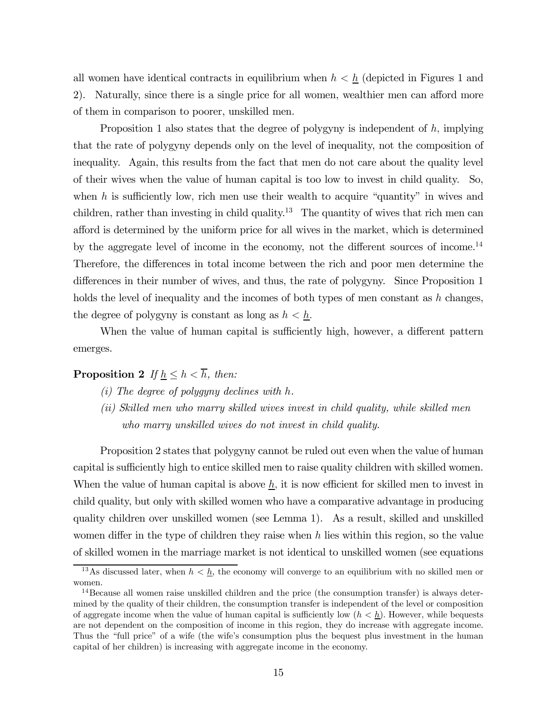all women have identical contracts in equilibrium when  $h < h$  (depicted in Figures 1 and 2). Naturally, since there is a single price for all women, wealthier men can afford more of them in comparison to poorer, unskilled men.

Proposition 1 also states that the degree of polygyny is independent of h, implying that the rate of polygyny depends only on the level of inequality, not the composition of inequality. Again, this results from the fact that men do not care about the quality level of their wives when the value of human capital is too low to invest in child quality. So, when  $h$  is sufficiently low, rich men use their wealth to acquire "quantity" in wives and children, rather than investing in child quality.<sup>13</sup> The quantity of wives that rich men can afford is determined by the uniform price for all wives in the market, which is determined by the aggregate level of income in the economy, not the different sources of income.<sup>14</sup> Therefore, the differences in total income between the rich and poor men determine the differences in their number of wives, and thus, the rate of polygyny. Since Proposition 1 holds the level of inequality and the incomes of both types of men constant as h changes, the degree of polygyny is constant as long as  $h < h$ .

When the value of human capital is sufficiently high, however, a different pattern emerges.

## **Proposition 2** If  $\underline{h} \leq h < \overline{h}$ , then:

- (i) The degree of polygyny declines with h.
- (ii) Skilled men who marry skilled wives invest in child quality, while skilled men who marry unskilled wives do not invest in child quality.

Proposition 2 states that polygyny cannot be ruled out even when the value of human capital is sufficiently high to entice skilled men to raise quality children with skilled women. When the value of human capital is above  $\underline{h}$ , it is now efficient for skilled men to invest in child quality, but only with skilled women who have a comparative advantage in producing quality children over unskilled women (see Lemma 1). As a result, skilled and unskilled women differ in the type of children they raise when  $h$  lies within this region, so the value of skilled women in the marriage market is not identical to unskilled women (see equations

<sup>&</sup>lt;sup>13</sup>As discussed later, when  $h < \underline{h}$ , the economy will converge to an equilibrium with no skilled men or women.

 $14$ Because all women raise unskilled children and the price (the consumption transfer) is always determined by the quality of their children, the consumption transfer is independent of the level or composition of aggregate income when the value of human capital is sufficiently low  $(h < h)$ . However, while bequests are not dependent on the composition of income in this region, they do increase with aggregate income. Thus the "full price" of a wife (the wife's consumption plus the bequest plus investment in the human capital of her children) is increasing with aggregate income in the economy.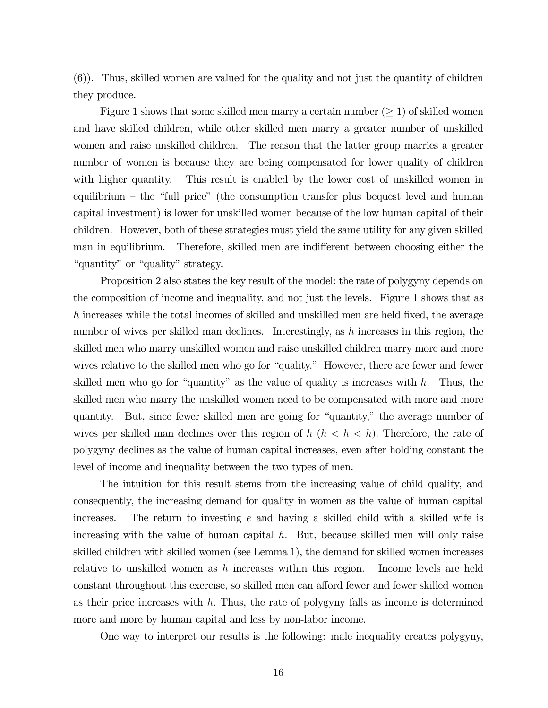(6)). Thus, skilled women are valued for the quality and not just the quantity of children they produce.

Figure 1 shows that some skilled men marry a certain number  $(≥ 1)$  of skilled women and have skilled children, while other skilled men marry a greater number of unskilled women and raise unskilled children. The reason that the latter group marries a greater number of women is because they are being compensated for lower quality of children with higher quantity. This result is enabled by the lower cost of unskilled women in equilibrium — the "full price" (the consumption transfer plus bequest level and human capital investment) is lower for unskilled women because of the low human capital of their children. However, both of these strategies must yield the same utility for any given skilled man in equilibrium. Therefore, skilled men are indifferent between choosing either the "quantity" or "quality" strategy.

Proposition 2 also states the key result of the model: the rate of polygyny depends on the composition of income and inequality, and not just the levels. Figure 1 shows that as h increases while the total incomes of skilled and unskilled men are held fixed, the average number of wives per skilled man declines. Interestingly, as  $h$  increases in this region, the skilled men who marry unskilled women and raise unskilled children marry more and more wives relative to the skilled men who go for "quality." However, there are fewer and fewer skilled men who go for "quantity" as the value of quality is increases with  $h$ . Thus, the skilled men who marry the unskilled women need to be compensated with more and more quantity. But, since fewer skilled men are going for "quantity," the average number of wives per skilled man declines over this region of  $h$   $(\underline{h} < h < \overline{h})$ . Therefore, the rate of polygyny declines as the value of human capital increases, even after holding constant the level of income and inequality between the two types of men.

The intuition for this result stems from the increasing value of child quality, and consequently, the increasing demand for quality in women as the value of human capital increases. The return to investing  $e$  and having a skilled child with a skilled wife is increasing with the value of human capital  $h$ . But, because skilled men will only raise skilled children with skilled women (see Lemma 1), the demand for skilled women increases relative to unskilled women as h increases within this region. Income levels are held constant throughout this exercise, so skilled men can afford fewer and fewer skilled women as their price increases with  $h$ . Thus, the rate of polygyny falls as income is determined more and more by human capital and less by non-labor income.

One way to interpret our results is the following: male inequality creates polygyny,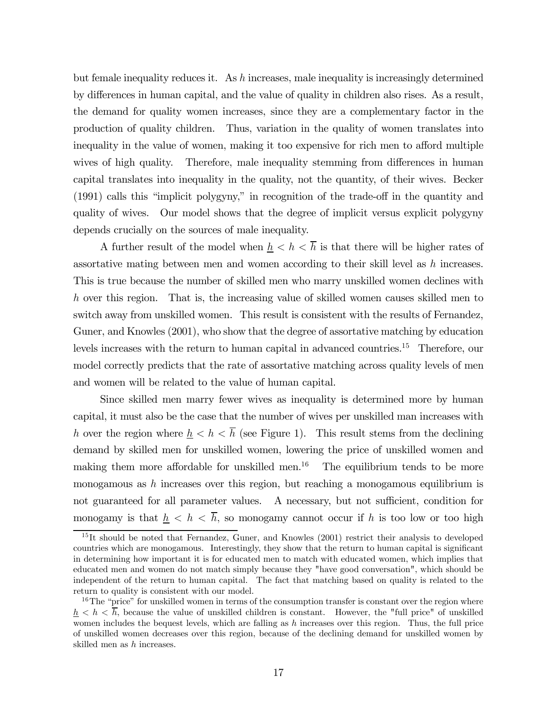but female inequality reduces it. As h increases, male inequality is increasingly determined by differences in human capital, and the value of quality in children also rises. As a result, the demand for quality women increases, since they are a complementary factor in the production of quality children. Thus, variation in the quality of women translates into inequality in the value of women, making it too expensive for rich men to afford multiple wives of high quality. Therefore, male inequality stemming from differences in human capital translates into inequality in the quality, not the quantity, of their wives. Becker (1991) calls this "implicit polygyny," in recognition of the trade-off in the quantity and quality of wives. Our model shows that the degree of implicit versus explicit polygyny depends crucially on the sources of male inequality.

A further result of the model when  $\underline{h} < h < \overline{h}$  is that there will be higher rates of assortative mating between men and women according to their skill level as  $h$  increases. This is true because the number of skilled men who marry unskilled women declines with h over this region. That is, the increasing value of skilled women causes skilled men to switch away from unskilled women. This result is consistent with the results of Fernandez, Guner, and Knowles (2001), who show that the degree of assortative matching by education levels increases with the return to human capital in advanced countries.15 Therefore, our model correctly predicts that the rate of assortative matching across quality levels of men and women will be related to the value of human capital.

Since skilled men marry fewer wives as inequality is determined more by human capital, it must also be the case that the number of wives per unskilled man increases with h over the region where  $h < h < \overline{h}$  (see Figure 1). This result stems from the declining demand by skilled men for unskilled women, lowering the price of unskilled women and making them more affordable for unskilled men.<sup>16</sup> The equilibrium tends to be more monogamous as  $h$  increases over this region, but reaching a monogamous equilibrium is not guaranteed for all parameter values. A necessary, but not sufficient, condition for monogamy is that  $h < h < \overline{h}$ , so monogamy cannot occur if h is too low or too high

<sup>&</sup>lt;sup>15</sup>It should be noted that Fernandez, Guner, and Knowles (2001) restrict their analysis to developed countries which are monogamous. Interestingly, they show that the return to human capital is significant in determining how important it is for educated men to match with educated women, which implies that educated men and women do not match simply because they "have good conversation", which should be independent of the return to human capital. The fact that matching based on quality is related to the return to quality is consistent with our model.

 $16$ The "price" for unskilled women in terms of the consumption transfer is constant over the region where  $h < h < \overline{h}$ , because the value of unskilled children is constant. However, the "full price" of unskilled women includes the bequest levels, which are falling as  $h$  increases over this region. Thus, the full price of unskilled women decreases over this region, because of the declining demand for unskilled women by skilled men as h increases.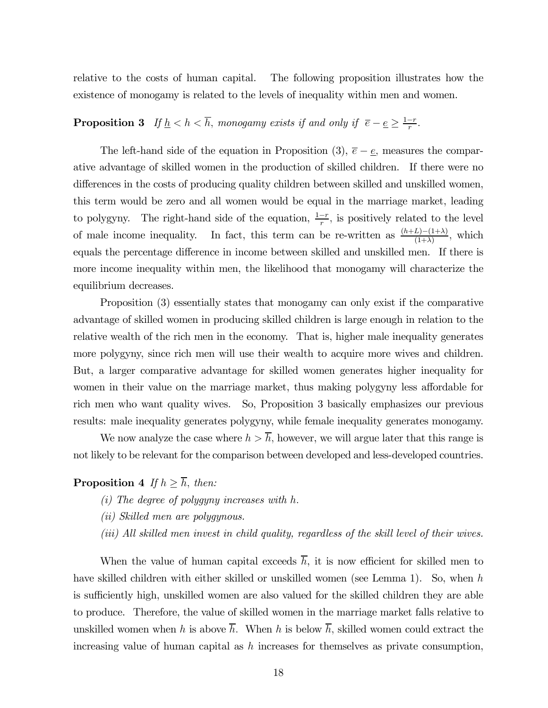relative to the costs of human capital. The following proposition illustrates how the existence of monogamy is related to the levels of inequality within men and women.

# **Proposition 3** If  $\underline{h} < h < \overline{h}$ , monogamy exists if and only if  $\overline{e} - \underline{e} \ge \frac{1-r}{r}$ .

The left-hand side of the equation in Proposition (3),  $\overline{e} - \underline{e}$ , measures the comparative advantage of skilled women in the production of skilled children. If there were no differences in the costs of producing quality children between skilled and unskilled women, this term would be zero and all women would be equal in the marriage market, leading to polygyny. The right-hand side of the equation,  $\frac{1-r}{r}$ , is positively related to the level of male income inequality. In fact, this term can be re-written as  $\frac{(h+L)-(1+\lambda)}{(1+\lambda)}$ , which equals the percentage difference in income between skilled and unskilled men. If there is more income inequality within men, the likelihood that monogamy will characterize the equilibrium decreases.

Proposition (3) essentially states that monogamy can only exist if the comparative advantage of skilled women in producing skilled children is large enough in relation to the relative wealth of the rich men in the economy. That is, higher male inequality generates more polygyny, since rich men will use their wealth to acquire more wives and children. But, a larger comparative advantage for skilled women generates higher inequality for women in their value on the marriage market, thus making polygyny less affordable for rich men who want quality wives. So, Proposition 3 basically emphasizes our previous results: male inequality generates polygyny, while female inequality generates monogamy.

We now analyze the case where  $h > \overline{h}$ , however, we will argue later that this range is not likely to be relevant for the comparison between developed and less-developed countries.

# **Proposition 4** If  $h \geq \overline{h}$ , then:

- $(i) \ \ The \ degree \ of \ polygyny \ increases \ with \ h.$
- (ii) Skilled men are polygynous.
- (iii) All skilled men invest in child quality, regardless of the skill level of their wives.

When the value of human capital exceeds  $\overline{h}$ , it is now efficient for skilled men to have skilled children with either skilled or unskilled women (see Lemma 1). So, when h is sufficiently high, unskilled women are also valued for the skilled children they are able to produce. Therefore, the value of skilled women in the marriage market falls relative to unskilled women when h is above  $\overline{h}$ . When h is below  $\overline{h}$ , skilled women could extract the increasing value of human capital as  $h$  increases for themselves as private consumption,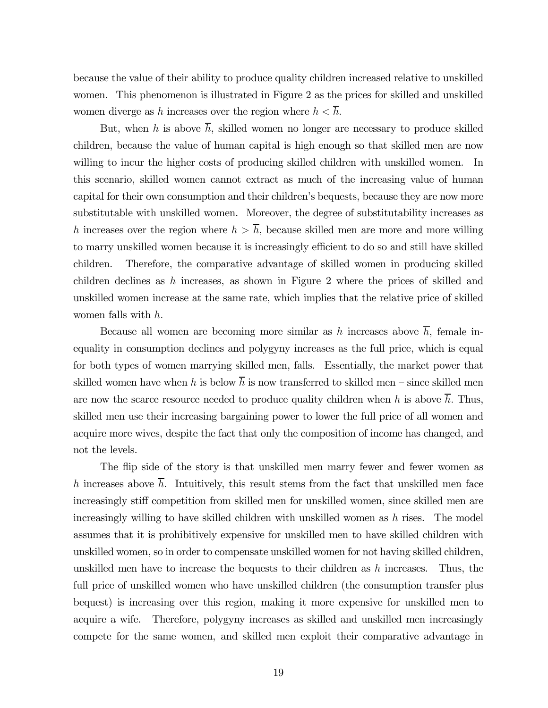because the value of their ability to produce quality children increased relative to unskilled women. This phenomenon is illustrated in Figure 2 as the prices for skilled and unskilled women diverge as h increases over the region where  $h < \overline{h}$ .

But, when h is above  $\overline{h}$ , skilled women no longer are necessary to produce skilled children, because the value of human capital is high enough so that skilled men are now willing to incur the higher costs of producing skilled children with unskilled women. In this scenario, skilled women cannot extract as much of the increasing value of human capital for their own consumption and their children's bequests, because they are now more substitutable with unskilled women. Moreover, the degree of substitutability increases as h increases over the region where  $h > \overline{h}$ , because skilled men are more and more willing to marry unskilled women because it is increasingly efficient to do so and still have skilled children. Therefore, the comparative advantage of skilled women in producing skilled children declines as  $h$  increases, as shown in Figure 2 where the prices of skilled and unskilled women increase at the same rate, which implies that the relative price of skilled women falls with h.

Because all women are becoming more similar as h increases above  $\overline{h}$ , female inequality in consumption declines and polygyny increases as the full price, which is equal for both types of women marrying skilled men, falls. Essentially, the market power that skilled women have when h is below  $\overline{h}$  is now transferred to skilled men – since skilled men are now the scarce resource needed to produce quality children when h is above  $\overline{h}$ . Thus, skilled men use their increasing bargaining power to lower the full price of all women and acquire more wives, despite the fact that only the composition of income has changed, and not the levels.

The flip side of the story is that unskilled men marry fewer and fewer women as h increases above  $\overline{h}$ . Intuitively, this result stems from the fact that unskilled men face increasingly stiff competition from skilled men for unskilled women, since skilled men are increasingly willing to have skilled children with unskilled women as  $h$  rises. The model assumes that it is prohibitively expensive for unskilled men to have skilled children with unskilled women, so in order to compensate unskilled women for not having skilled children, unskilled men have to increase the bequests to their children as  $h$  increases. Thus, the full price of unskilled women who have unskilled children (the consumption transfer plus bequest) is increasing over this region, making it more expensive for unskilled men to acquire a wife. Therefore, polygyny increases as skilled and unskilled men increasingly compete for the same women, and skilled men exploit their comparative advantage in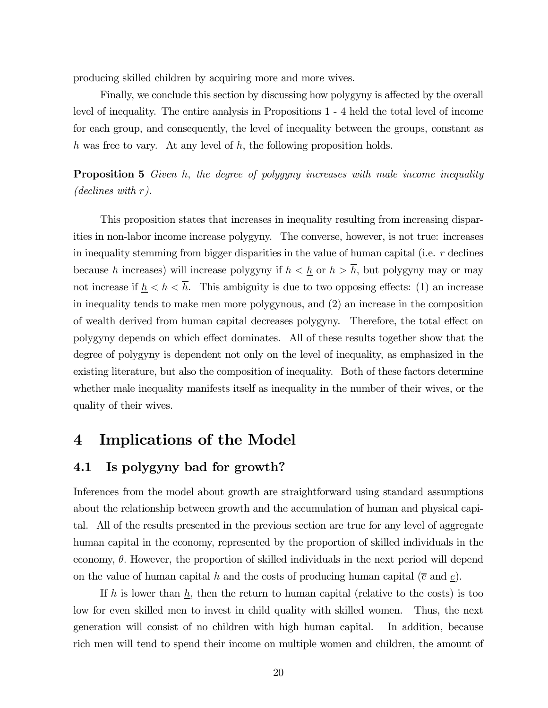producing skilled children by acquiring more and more wives.

Finally, we conclude this section by discussing how polygyny is affected by the overall level of inequality. The entire analysis in Propositions 1 - 4 held the total level of income for each group, and consequently, the level of inequality between the groups, constant as h was free to vary. At any level of h, the following proposition holds.

Proposition 5 Given h, the degree of polygyny increases with male income inequality (declines with r).

This proposition states that increases in inequality resulting from increasing disparities in non-labor income increase polygyny. The converse, however, is not true: increases in inequality stemming from bigger disparities in the value of human capital (i.e.  $r$  declines because h increases) will increase polygyny if  $h < \underline{h}$  or  $h > \overline{h}$ , but polygyny may or may not increase if  $h < h < \overline{h}$ . This ambiguity is due to two opposing effects: (1) an increase in inequality tends to make men more polygynous, and (2) an increase in the composition of wealth derived from human capital decreases polygyny. Therefore, the total effect on polygyny depends on which effect dominates. All of these results together show that the degree of polygyny is dependent not only on the level of inequality, as emphasized in the existing literature, but also the composition of inequality. Both of these factors determine whether male inequality manifests itself as inequality in the number of their wives, or the quality of their wives.

## 4 Implications of the Model

## 4.1 Is polygyny bad for growth?

Inferences from the model about growth are straightforward using standard assumptions about the relationship between growth and the accumulation of human and physical capital. All of the results presented in the previous section are true for any level of aggregate human capital in the economy, represented by the proportion of skilled individuals in the economy,  $\theta$ . However, the proportion of skilled individuals in the next period will depend on the value of human capital h and the costs of producing human capital ( $\bar{e}$  and  $\underline{e}$ ).

If h is lower than  $\underline{h}$ , then the return to human capital (relative to the costs) is too low for even skilled men to invest in child quality with skilled women. Thus, the next generation will consist of no children with high human capital. In addition, because rich men will tend to spend their income on multiple women and children, the amount of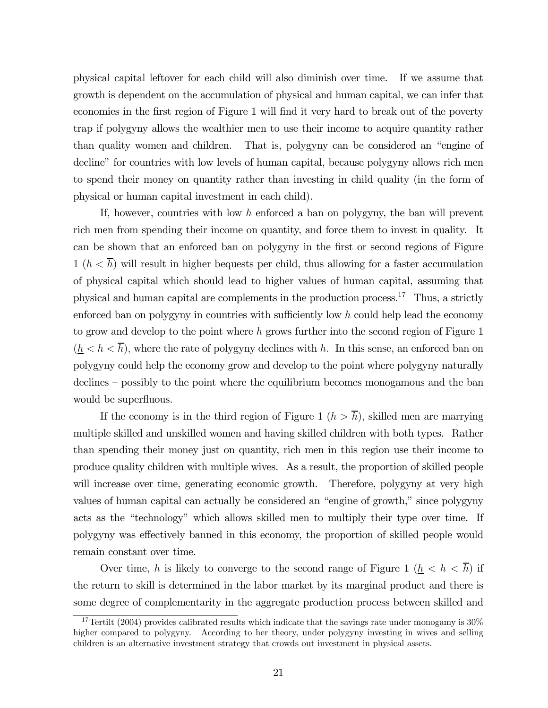physical capital leftover for each child will also diminish over time. If we assume that growth is dependent on the accumulation of physical and human capital, we can infer that economies in the first region of Figure 1 will find it very hard to break out of the poverty trap if polygyny allows the wealthier men to use their income to acquire quantity rather than quality women and children. That is, polygyny can be considered an "engine of decline" for countries with low levels of human capital, because polygyny allows rich men to spend their money on quantity rather than investing in child quality (in the form of physical or human capital investment in each child).

If, however, countries with low h enforced a ban on polygyny, the ban will prevent rich men from spending their income on quantity, and force them to invest in quality. It can be shown that an enforced ban on polygyny in the first or second regions of Figure  $1 (h < h)$  will result in higher bequests per child, thus allowing for a faster accumulation of physical capital which should lead to higher values of human capital, assuming that physical and human capital are complements in the production process.17 Thus, a strictly enforced ban on polygyny in countries with sufficiently low  $h$  could help lead the economy to grow and develop to the point where  $h$  grows further into the second region of Figure 1  $(\underline{h} < h < \overline{h})$ , where the rate of polygyny declines with h. In this sense, an enforced ban on polygyny could help the economy grow and develop to the point where polygyny naturally declines — possibly to the point where the equilibrium becomes monogamous and the ban would be superfluous.

If the economy is in the third region of Figure 1  $(h > \overline{h})$ , skilled men are marrying multiple skilled and unskilled women and having skilled children with both types. Rather than spending their money just on quantity, rich men in this region use their income to produce quality children with multiple wives. As a result, the proportion of skilled people will increase over time, generating economic growth. Therefore, polygyny at very high values of human capital can actually be considered an "engine of growth," since polygyny acts as the "technology" which allows skilled men to multiply their type over time. If polygyny was effectively banned in this economy, the proportion of skilled people would remain constant over time.

Over time, h is likely to converge to the second range of Figure 1 ( $h < h < \overline{h}$ ) if the return to skill is determined in the labor market by its marginal product and there is some degree of complementarity in the aggregate production process between skilled and

<sup>&</sup>lt;sup>17</sup>Tertilt (2004) provides calibrated results which indicate that the savings rate under monogamy is  $30\%$ higher compared to polygyny. According to her theory, under polygyny investing in wives and selling children is an alternative investment strategy that crowds out investment in physical assets.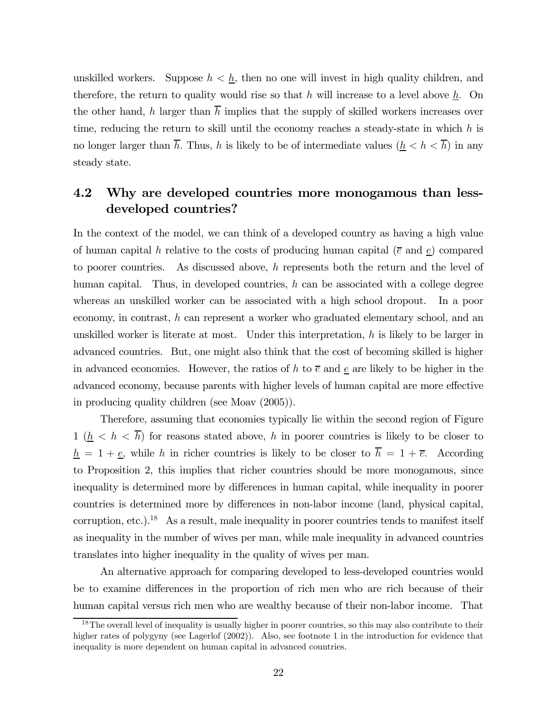unskilled workers. Suppose  $h < h$ , then no one will invest in high quality children, and therefore, the return to quality would rise so that  $h$  will increase to a level above  $h$ . On the other hand, h larger than  $\overline{h}$  implies that the supply of skilled workers increases over time, reducing the return to skill until the economy reaches a steady-state in which  $h$  is no longer larger than  $\overline{h}$ . Thus, h is likely to be of intermediate values  $(h < h < \overline{h})$  in any steady state.

## 4.2 Why are developed countries more monogamous than lessdeveloped countries?

In the context of the model, we can think of a developed country as having a high value of human capital h relative to the costs of producing human capital ( $\bar{e}$  and  $\bar{e}$ ) compared to poorer countries. As discussed above, h represents both the return and the level of human capital. Thus, in developed countries, h can be associated with a college degree whereas an unskilled worker can be associated with a high school dropout. In a poor economy, in contrast, h can represent a worker who graduated elementary school, and an unskilled worker is literate at most. Under this interpretation,  $h$  is likely to be larger in advanced countries. But, one might also think that the cost of becoming skilled is higher in advanced economies. However, the ratios of h to  $\bar{e}$  and  $\bar{e}$  are likely to be higher in the advanced economy, because parents with higher levels of human capital are more effective in producing quality children (see Moav (2005)).

Therefore, assuming that economies typically lie within the second region of Figure 1 ( $h < h < \overline{h}$ ) for reasons stated above, h in poorer countries is likely to be closer to  $h = 1 + \underline{e}$ , while h in richer countries is likely to be closer to  $\overline{h} = 1 + \overline{e}$ . According to Proposition 2, this implies that richer countries should be more monogamous, since inequality is determined more by differences in human capital, while inequality in poorer countries is determined more by differences in non-labor income (land, physical capital, corruption, etc.).<sup>18</sup> As a result, male inequality in poorer countries tends to manifest itself as inequality in the number of wives per man, while male inequality in advanced countries translates into higher inequality in the quality of wives per man.

An alternative approach for comparing developed to less-developed countries would be to examine differences in the proportion of rich men who are rich because of their human capital versus rich men who are wealthy because of their non-labor income. That

<sup>&</sup>lt;sup>18</sup>The overall level of inequality is usually higher in poorer countries, so this may also contribute to their higher rates of polygyny (see Lagerlof  $(2002)$ ). Also, see footnote 1 in the introduction for evidence that inequality is more dependent on human capital in advanced countries.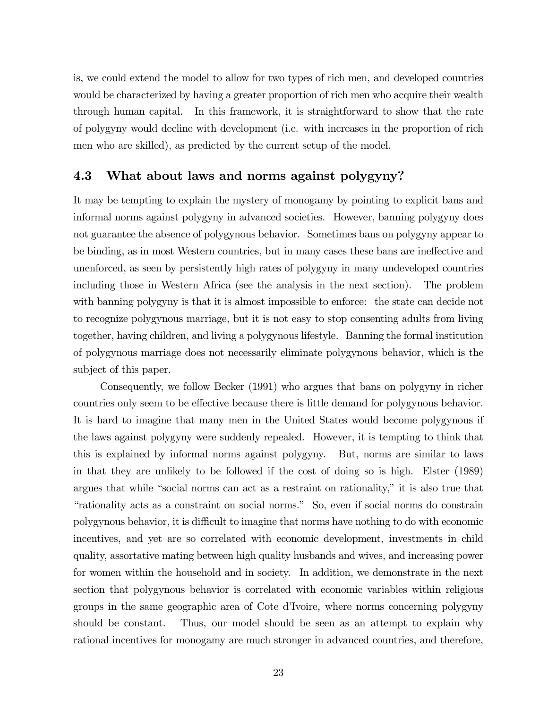is, we could extend the model to allow for two types of rich men, and developed countries would be characterized by having a greater proportion of rich men who acquire their wealth through human capital. In this framework, it is straightforward to show that the rate of polygyny would decline with development (i.e. with increases in the proportion of rich men who are skilled), as predicted by the current setup of the model.

#### 4.3 What about laws and norms against polygyny?

It may be tempting to explain the mystery of monogamy by pointing to explicit bans and informal norms against polygyny in advanced societies. However, banning polygyny does not guarantee the absence of polygynous behavior. Sometimes bans on polygyny appear to be binding, as in most Western countries, but in many cases these bans are ineffective and unenforced, as seen by persistently high rates of polygyny in many undeveloped countries including those in Western Africa (see the analysis in the next section). The problem with banning polygyny is that it is almost impossible to enforce: the state can decide not to recognize polygynous marriage, but it is not easy to stop consenting adults from living together, having children, and living a polygynous lifestyle. Banning the formal institution of polygynous marriage does not necessarily eliminate polygynous behavior, which is the subject of this paper.

Consequently, we follow Becker (1991) who argues that bans on polygyny in richer countries only seem to be effective because there is little demand for polygynous behavior. It is hard to imagine that many men in the United States would become polygynous if the laws against polygyny were suddenly repealed. However, it is tempting to think that this is explained by informal norms against polygyny. But, norms are similar to laws in that they are unlikely to be followed if the cost of doing so is high. Elster (1989) argues that while "social norms can act as a restraint on rationality," it is also true that "rationality acts as a constraint on social norms." So, even if social norms do constrain polygynous behavior, it is difficult to imagine that norms have nothing to do with economic incentives, and yet are so correlated with economic development, investments in child quality, assortative mating between high quality husbands and wives, and increasing power for women within the household and in society. In addition, we demonstrate in the next section that polygynous behavior is correlated with economic variables within religious groups in the same geographic area of Cote d'Ivoire, where norms concerning polygyny should be constant. Thus, our model should be seen as an attempt to explain why rational incentives for monogamy are much stronger in advanced countries, and therefore,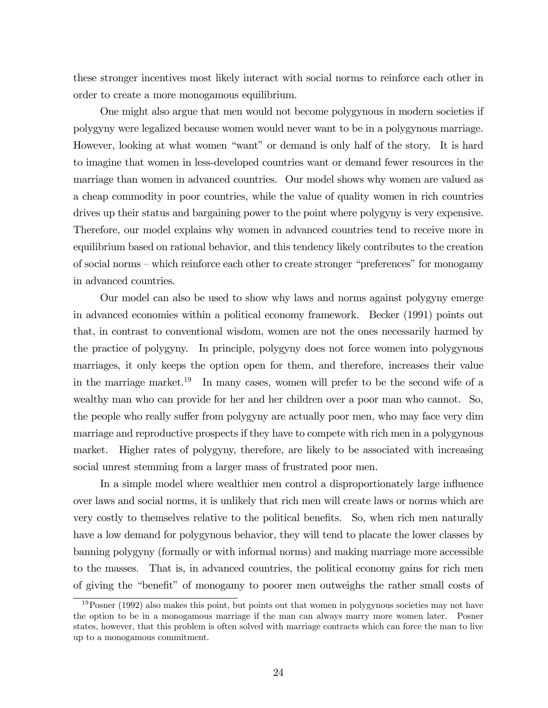these stronger incentives most likely interact with social norms to reinforce each other in order to create a more monogamous equilibrium.

One might also argue that men would not become polygynous in modern societies if polygyny were legalized because women would never want to be in a polygynous marriage. However, looking at what women "want" or demand is only half of the story. It is hard to imagine that women in less-developed countries want or demand fewer resources in the marriage than women in advanced countries. Our model shows why women are valued as a cheap commodity in poor countries, while the value of quality women in rich countries drives up their status and bargaining power to the point where polygyny is very expensive. Therefore, our model explains why women in advanced countries tend to receive more in equilibrium based on rational behavior, and this tendency likely contributes to the creation of social norms — which reinforce each other to create stronger "preferences" for monogamy in advanced countries.

Our model can also be used to show why laws and norms against polygyny emerge in advanced economies within a political economy framework. Becker (1991) points out that, in contrast to conventional wisdom, women are not the ones necessarily harmed by the practice of polygyny. In principle, polygyny does not force women into polygynous marriages, it only keeps the option open for them, and therefore, increases their value in the marriage market.<sup>19</sup> In many cases, women will prefer to be the second wife of a wealthy man who can provide for her and her children over a poor man who cannot. So, the people who really suffer from polygyny are actually poor men, who may face very dim marriage and reproductive prospects if they have to compete with rich men in a polygynous market. Higher rates of polygyny, therefore, are likely to be associated with increasing social unrest stemming from a larger mass of frustrated poor men.

In a simple model where wealthier men control a disproportionately large influence over laws and social norms, it is unlikely that rich men will create laws or norms which are very costly to themselves relative to the political benefits. So, when rich men naturally have a low demand for polygynous behavior, they will tend to placate the lower classes by banning polygyny (formally or with informal norms) and making marriage more accessible to the masses. That is, in advanced countries, the political economy gains for rich men of giving the "benefit" of monogamy to poorer men outweighs the rather small costs of

 $19P$ Osner (1992) also makes this point, but points out that women in polygynous societies may not have the option to be in a monogamous marriage if the man can always marry more women later. Posner states, however, that this problem is often solved with marriage contracts which can force the man to live up to a monogamous commitment.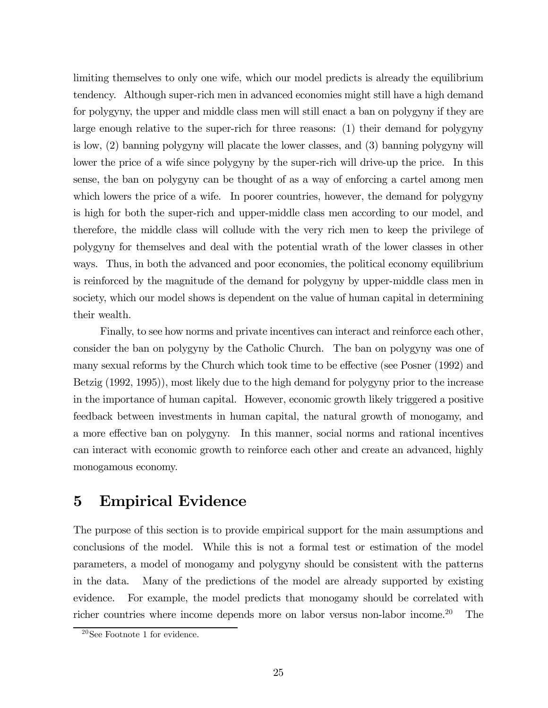limiting themselves to only one wife, which our model predicts is already the equilibrium tendency. Although super-rich men in advanced economies might still have a high demand for polygyny, the upper and middle class men will still enact a ban on polygyny if they are large enough relative to the super-rich for three reasons: (1) their demand for polygyny is low, (2) banning polygyny will placate the lower classes, and (3) banning polygyny will lower the price of a wife since polygyny by the super-rich will drive-up the price. In this sense, the ban on polygyny can be thought of as a way of enforcing a cartel among men which lowers the price of a wife. In poorer countries, however, the demand for polygyny is high for both the super-rich and upper-middle class men according to our model, and therefore, the middle class will collude with the very rich men to keep the privilege of polygyny for themselves and deal with the potential wrath of the lower classes in other ways. Thus, in both the advanced and poor economies, the political economy equilibrium is reinforced by the magnitude of the demand for polygyny by upper-middle class men in society, which our model shows is dependent on the value of human capital in determining their wealth.

Finally, to see how norms and private incentives can interact and reinforce each other, consider the ban on polygyny by the Catholic Church. The ban on polygyny was one of many sexual reforms by the Church which took time to be effective (see Posner (1992) and Betzig (1992, 1995)), most likely due to the high demand for polygyny prior to the increase in the importance of human capital. However, economic growth likely triggered a positive feedback between investments in human capital, the natural growth of monogamy, and a more effective ban on polygyny. In this manner, social norms and rational incentives can interact with economic growth to reinforce each other and create an advanced, highly monogamous economy.

## 5 Empirical Evidence

The purpose of this section is to provide empirical support for the main assumptions and conclusions of the model. While this is not a formal test or estimation of the model parameters, a model of monogamy and polygyny should be consistent with the patterns in the data. Many of the predictions of the model are already supported by existing evidence. For example, the model predicts that monogamy should be correlated with richer countries where income depends more on labor versus non-labor income.<sup>20</sup> The

<sup>20</sup>See Footnote 1 for evidence.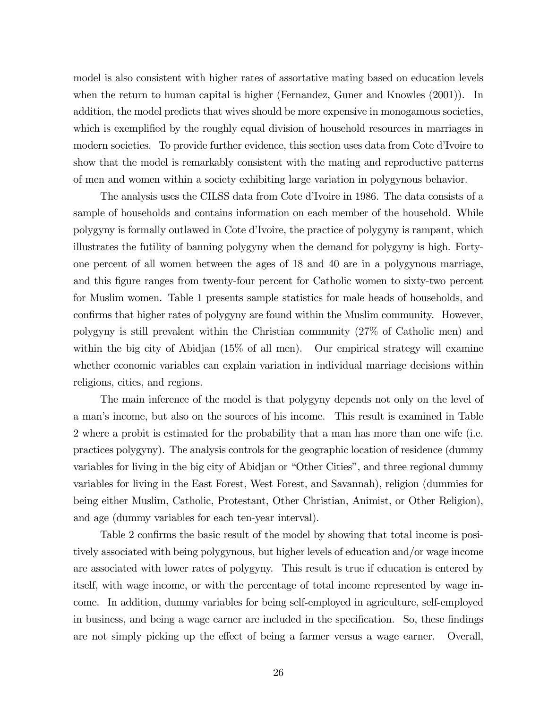model is also consistent with higher rates of assortative mating based on education levels when the return to human capital is higher (Fernandez, Guner and Knowles (2001)). In addition, the model predicts that wives should be more expensive in monogamous societies, which is exemplified by the roughly equal division of household resources in marriages in modern societies. To provide further evidence, this section uses data from Cote d'Ivoire to show that the model is remarkably consistent with the mating and reproductive patterns of men and women within a society exhibiting large variation in polygynous behavior.

The analysis uses the CILSS data from Cote d'Ivoire in 1986. The data consists of a sample of households and contains information on each member of the household. While polygyny is formally outlawed in Cote d'Ivoire, the practice of polygyny is rampant, which illustrates the futility of banning polygyny when the demand for polygyny is high. Fortyone percent of all women between the ages of 18 and 40 are in a polygynous marriage, and this figure ranges from twenty-four percent for Catholic women to sixty-two percent for Muslim women. Table 1 presents sample statistics for male heads of households, and confirms that higher rates of polygyny are found within the Muslim community. However, polygyny is still prevalent within the Christian community (27% of Catholic men) and within the big city of Abidjan (15% of all men). Our empirical strategy will examine whether economic variables can explain variation in individual marriage decisions within religions, cities, and regions.

The main inference of the model is that polygyny depends not only on the level of a man's income, but also on the sources of his income. This result is examined in Table 2 where a probit is estimated for the probability that a man has more than one wife (i.e. practices polygyny). The analysis controls for the geographic location of residence (dummy variables for living in the big city of Abidjan or "Other Cities", and three regional dummy variables for living in the East Forest, West Forest, and Savannah), religion (dummies for being either Muslim, Catholic, Protestant, Other Christian, Animist, or Other Religion), and age (dummy variables for each ten-year interval).

Table 2 confirms the basic result of the model by showing that total income is positively associated with being polygynous, but higher levels of education and/or wage income are associated with lower rates of polygyny. This result is true if education is entered by itself, with wage income, or with the percentage of total income represented by wage income. In addition, dummy variables for being self-employed in agriculture, self-employed in business, and being a wage earner are included in the specification. So, these findings are not simply picking up the effect of being a farmer versus a wage earner. Overall,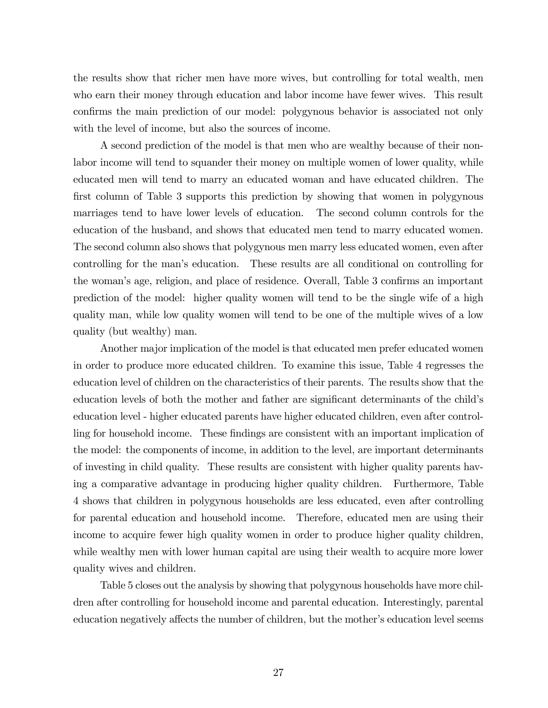the results show that richer men have more wives, but controlling for total wealth, men who earn their money through education and labor income have fewer wives. This result confirms the main prediction of our model: polygynous behavior is associated not only with the level of income, but also the sources of income.

A second prediction of the model is that men who are wealthy because of their nonlabor income will tend to squander their money on multiple women of lower quality, while educated men will tend to marry an educated woman and have educated children. The first column of Table 3 supports this prediction by showing that women in polygynous marriages tend to have lower levels of education. The second column controls for the education of the husband, and shows that educated men tend to marry educated women. The second column also shows that polygynous men marry less educated women, even after controlling for the man's education. These results are all conditional on controlling for the woman's age, religion, and place of residence. Overall, Table 3 confirms an important prediction of the model: higher quality women will tend to be the single wife of a high quality man, while low quality women will tend to be one of the multiple wives of a low quality (but wealthy) man.

Another major implication of the model is that educated men prefer educated women in order to produce more educated children. To examine this issue, Table 4 regresses the education level of children on the characteristics of their parents. The results show that the education levels of both the mother and father are significant determinants of the child's education level - higher educated parents have higher educated children, even after controlling for household income. These findings are consistent with an important implication of the model: the components of income, in addition to the level, are important determinants of investing in child quality. These results are consistent with higher quality parents having a comparative advantage in producing higher quality children. Furthermore, Table 4 shows that children in polygynous households are less educated, even after controlling for parental education and household income. Therefore, educated men are using their income to acquire fewer high quality women in order to produce higher quality children, while wealthy men with lower human capital are using their wealth to acquire more lower quality wives and children.

Table 5 closes out the analysis by showing that polygynous households have more children after controlling for household income and parental education. Interestingly, parental education negatively affects the number of children, but the mother's education level seems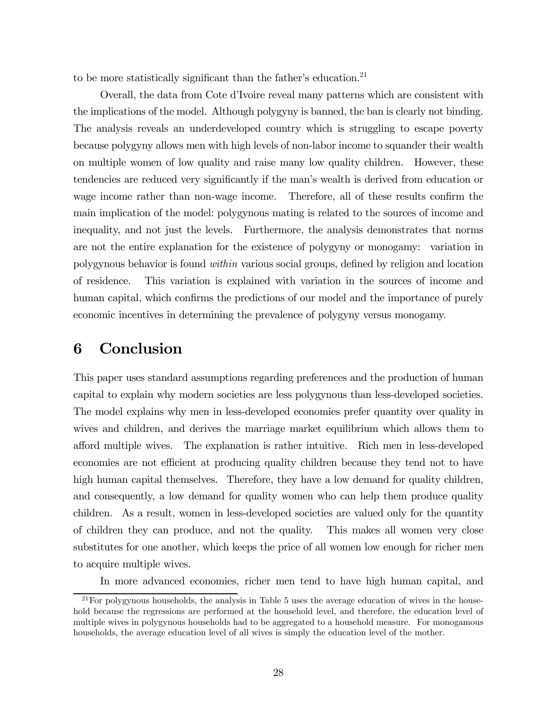to be more statistically significant than the father's education.<sup>21</sup>

Overall, the data from Cote d'Ivoire reveal many patterns which are consistent with the implications of the model. Although polygyny is banned, the ban is clearly not binding. The analysis reveals an underdeveloped country which is struggling to escape poverty because polygyny allows men with high levels of non-labor income to squander their wealth on multiple women of low quality and raise many low quality children. However, these tendencies are reduced very significantly if the man's wealth is derived from education or wage income rather than non-wage income. Therefore, all of these results confirm the main implication of the model: polygynous mating is related to the sources of income and inequality, and not just the levels. Furthermore, the analysis demonstrates that norms are not the entire explanation for the existence of polygyny or monogamy: variation in polygynous behavior is found within various social groups, defined by religion and location of residence. This variation is explained with variation in the sources of income and human capital, which confirms the predictions of our model and the importance of purely economic incentives in determining the prevalence of polygyny versus monogamy.

## 6 Conclusion

This paper uses standard assumptions regarding preferences and the production of human capital to explain why modern societies are less polygynous than less-developed societies. The model explains why men in less-developed economies prefer quantity over quality in wives and children, and derives the marriage market equilibrium which allows them to afford multiple wives. The explanation is rather intuitive. Rich men in less-developed economies are not efficient at producing quality children because they tend not to have high human capital themselves. Therefore, they have a low demand for quality children, and consequently, a low demand for quality women who can help them produce quality children. As a result, women in less-developed societies are valued only for the quantity of children they can produce, and not the quality. This makes all women very close substitutes for one another, which keeps the price of all women low enough for richer men to acquire multiple wives.

In more advanced economies, richer men tend to have high human capital, and

 $21$  For polygynous households, the analysis in Table 5 uses the average education of wives in the household because the regressions are performed at the household level, and therefore, the education level of multiple wives in polygynous households had to be aggregated to a household measure. For monogamous households, the average education level of all wives is simply the education level of the mother.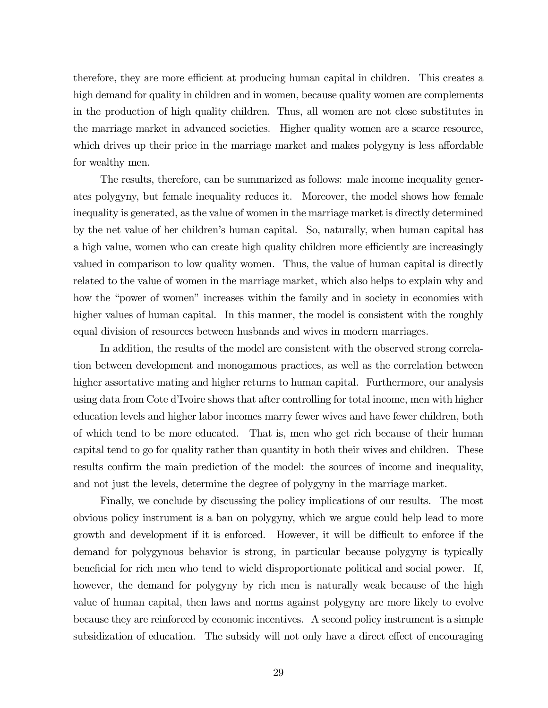therefore, they are more efficient at producing human capital in children. This creates a high demand for quality in children and in women, because quality women are complements in the production of high quality children. Thus, all women are not close substitutes in the marriage market in advanced societies. Higher quality women are a scarce resource, which drives up their price in the marriage market and makes polygyny is less affordable for wealthy men.

The results, therefore, can be summarized as follows: male income inequality generates polygyny, but female inequality reduces it. Moreover, the model shows how female inequality is generated, as the value of women in the marriage market is directly determined by the net value of her children's human capital. So, naturally, when human capital has a high value, women who can create high quality children more efficiently are increasingly valued in comparison to low quality women. Thus, the value of human capital is directly related to the value of women in the marriage market, which also helps to explain why and how the "power of women" increases within the family and in society in economies with higher values of human capital. In this manner, the model is consistent with the roughly equal division of resources between husbands and wives in modern marriages.

In addition, the results of the model are consistent with the observed strong correlation between development and monogamous practices, as well as the correlation between higher assortative mating and higher returns to human capital. Furthermore, our analysis using data from Cote d'Ivoire shows that after controlling for total income, men with higher education levels and higher labor incomes marry fewer wives and have fewer children, both of which tend to be more educated. That is, men who get rich because of their human capital tend to go for quality rather than quantity in both their wives and children. These results confirm the main prediction of the model: the sources of income and inequality, and not just the levels, determine the degree of polygyny in the marriage market.

Finally, we conclude by discussing the policy implications of our results. The most obvious policy instrument is a ban on polygyny, which we argue could help lead to more growth and development if it is enforced. However, it will be difficult to enforce if the demand for polygynous behavior is strong, in particular because polygyny is typically beneficial for rich men who tend to wield disproportionate political and social power. If, however, the demand for polygyny by rich men is naturally weak because of the high value of human capital, then laws and norms against polygyny are more likely to evolve because they are reinforced by economic incentives. A second policy instrument is a simple subsidization of education. The subsidy will not only have a direct effect of encouraging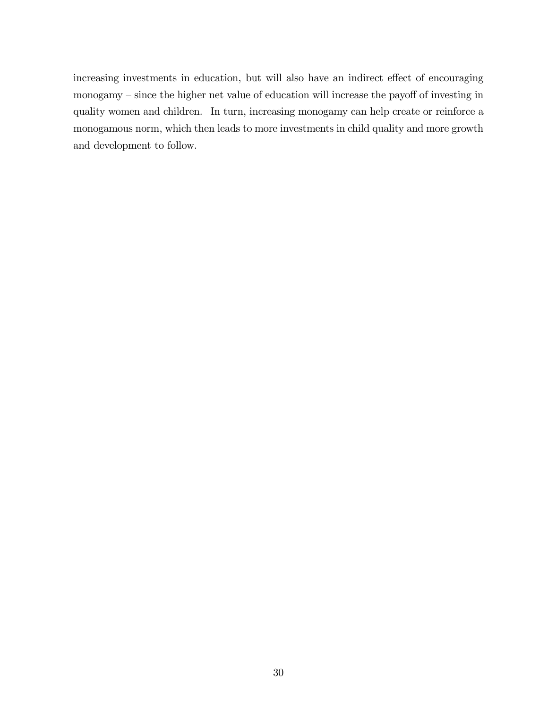increasing investments in education, but will also have an indirect effect of encouraging monogamy — since the higher net value of education will increase the payoff of investing in quality women and children. In turn, increasing monogamy can help create or reinforce a monogamous norm, which then leads to more investments in child quality and more growth and development to follow.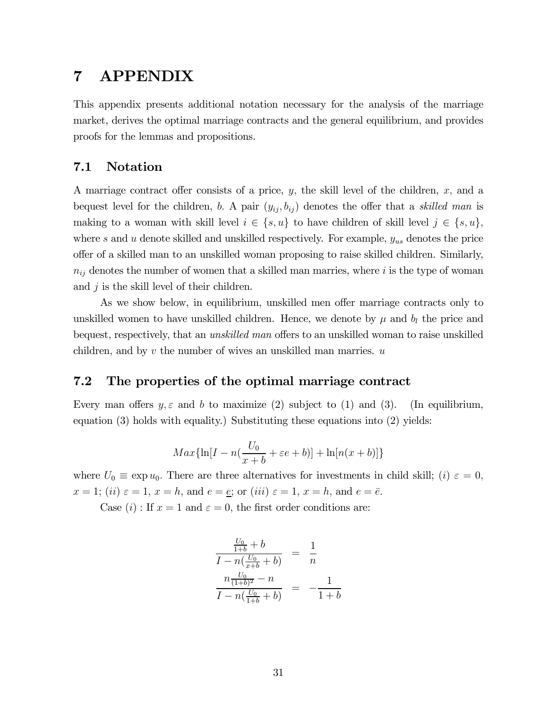## 7 APPENDIX

This appendix presents additional notation necessary for the analysis of the marriage market, derives the optimal marriage contracts and the general equilibrium, and provides proofs for the lemmas and propositions.

#### 7.1 Notation

A marriage contract offer consists of a price,  $y$ , the skill level of the children,  $x$ , and a bequest level for the children, b. A pair  $(y_{ij}, b_{ij})$  denotes the offer that a skilled man is making to a woman with skill level  $i \in \{s, u\}$  to have children of skill level  $j \in \{s, u\}$ , where s and u denote skilled and unskilled respectively. For example,  $y_{us}$  denotes the price offer of a skilled man to an unskilled woman proposing to raise skilled children. Similarly,  $n_{ij}$  denotes the number of women that a skilled man marries, where i is the type of woman and  $j$  is the skill level of their children.

As we show below, in equilibrium, unskilled men offer marriage contracts only to unskilled women to have unskilled children. Hence, we denote by  $\mu$  and  $b_l$  the price and bequest, respectively, that an unskilled man offers to an unskilled woman to raise unskilled children, and by  $v$  the number of wives an unskilled man marries.  $u$ 

## 7.2 The properties of the optimal marriage contract

Every man offers  $y, \varepsilon$  and b to maximize (2) subject to (1) and (3). (In equilibrium, equation (3) holds with equality.) Substituting these equations into (2) yields:

$$
Max\{\ln[I - n(\frac{U_0}{x+b} + \varepsilon e + b)] + \ln[n(x+b)]\}
$$

where  $U_0 \equiv \exp u_0$ . There are three alternatives for investments in child skill; (i)  $\varepsilon = 0$ ,  $x = 1$ ; (ii)  $\varepsilon = 1$ ,  $x = h$ , and  $e = \underline{e}$ ; or (iii)  $\varepsilon = 1$ ,  $x = h$ , and  $e = \overline{e}$ .

Case (i) : If  $x = 1$  and  $\varepsilon = 0$ , the first order conditions are:

$$
\frac{\frac{U_0}{1+b} + b}{I - n(\frac{U_0}{x+b} + b)} = \frac{1}{n}
$$

$$
\frac{n \frac{U_0}{(1+b)^2} - n}{I - n(\frac{U_0}{1+b} + b)} = -\frac{1}{1+b}
$$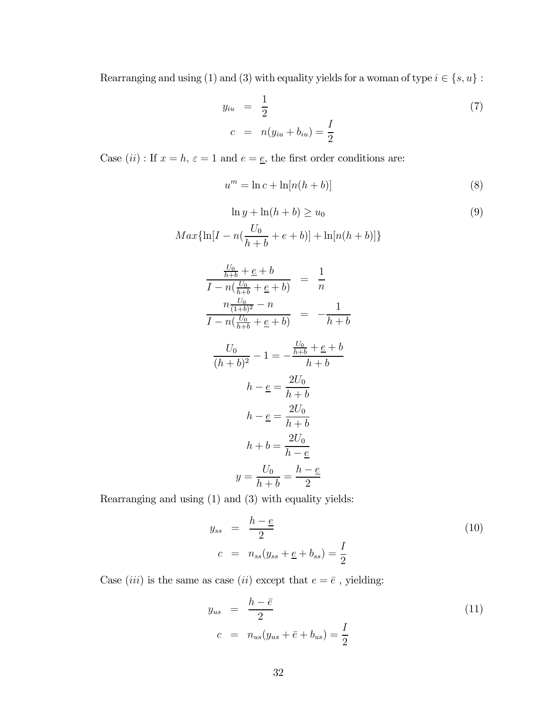Rearranging and using (1) and (3) with equality yields for a woman of type  $i \in \{s, u\}$ :

$$
y_{iu} = \frac{1}{2}
$$
  
\n
$$
c = n(y_{iu} + b_{iu}) = \frac{I}{2}
$$
\n(7)

Case  $(ii)$  : If  $x=h, \, \varepsilon=1$  and  $e=\underline{e},$  the first order conditions are:

$$
u^m = \ln c + \ln[n(h+b)]\tag{8}
$$

$$
\ln y + \ln(h+b) \ge u_0
$$
  

$$
Max\{\ln[I - n(\frac{U_0}{h+b} + e+b)] + \ln[n(h+b)]\}
$$
 (9)

$$
\frac{\frac{U_0}{h+b} + \underline{e} + b}{I - n(\frac{U_0}{h+b} + \underline{e} + b)} = \frac{1}{n}
$$
  

$$
\frac{n \frac{U_0}{(1+b)^2} - n}{I - n(\frac{U_0}{h+b} + \underline{e} + b)} = -\frac{1}{h+b}
$$
  

$$
\frac{U_0}{(h+b)^2} - 1 = -\frac{\frac{U_0}{h+b} + \underline{e} + b}{h+b}
$$
  

$$
h - \underline{e} = \frac{2U_0}{h+b}
$$
  

$$
h - \underline{e} = \frac{2U_0}{h+b}
$$
  

$$
h + b = \frac{2U_0}{h - \underline{e}}
$$
  

$$
y = \frac{U_0}{h+b} = \frac{h - \underline{e}}{2}
$$

Rearranging and using (1) and (3) with equality yields:

$$
y_{ss} = \frac{h - \underline{e}}{2}
$$
  
\n
$$
c = n_{ss}(y_{ss} + \underline{e} + b_{ss}) = \frac{I}{2}
$$
\n(10)

Case  $(iii)$  is the same as case  $(ii)$  except that  $e=\bar{e}$  , yielding:

$$
y_{us} = \frac{h - \bar{e}}{2}
$$
  
\n
$$
c = n_{us}(y_{us} + \bar{e} + b_{us}) = \frac{I}{2}
$$
\n(11)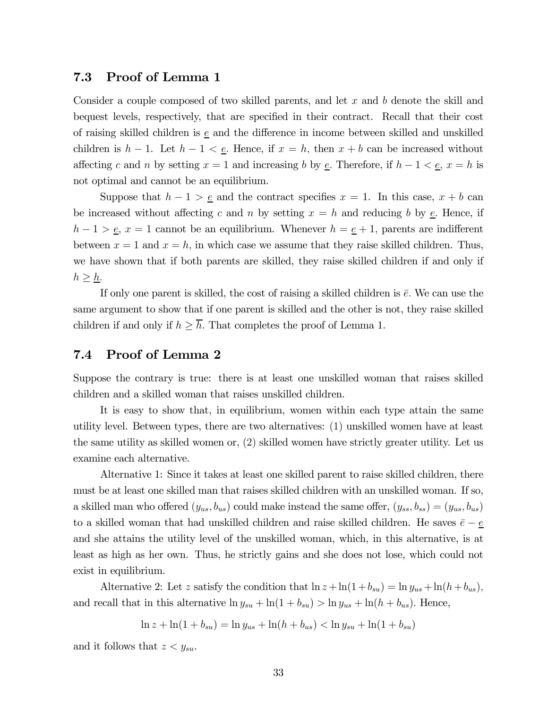#### 7.3 Proof of Lemma 1

Consider a couple composed of two skilled parents, and let x and b denote the skill and bequest levels, respectively, that are specified in their contract. Recall that their cost of raising skilled children is  $e$  and the difference in income between skilled and unskilled children is  $h-1$ . Let  $h-1 < \underline{e}$ . Hence, if  $x = h$ , then  $x + b$  can be increased without affecting c and n by setting  $x = 1$  and increasing b by  $\underline{e}$ . Therefore, if  $h - 1 < \underline{e}$ ,  $x = h$  is not optimal and cannot be an equilibrium.

Suppose that  $h - 1 > e$  and the contract specifies  $x = 1$ . In this case,  $x + b$  can be increased without affecting c and n by setting  $x = h$  and reducing b by  $\underline{e}$ . Hence, if  $h-1 > \underline{e}$ ,  $x = 1$  cannot be an equilibrium. Whenever  $h = \underline{e} + 1$ , parents are indifferent between  $x = 1$  and  $x = h$ , in which case we assume that they raise skilled children. Thus, we have shown that if both parents are skilled, they raise skilled children if and only if  $h \geq \underline{h}$ .

If only one parent is skilled, the cost of raising a skilled children is  $\bar{e}$ . We can use the same argument to show that if one parent is skilled and the other is not, they raise skilled children if and only if  $h \geq \overline{h}$ . That completes the proof of Lemma 1.

### 7.4 Proof of Lemma 2

Suppose the contrary is true: there is at least one unskilled woman that raises skilled children and a skilled woman that raises unskilled children.

It is easy to show that, in equilibrium, women within each type attain the same utility level. Between types, there are two alternatives: (1) unskilled women have at least the same utility as skilled women or, (2) skilled women have strictly greater utility. Let us examine each alternative.

Alternative 1: Since it takes at least one skilled parent to raise skilled children, there must be at least one skilled man that raises skilled children with an unskilled woman. If so, a skilled man who offered  $(y_{us}, b_{us})$  could make instead the same offer,  $(y_{ss}, b_{ss})=(y_{us}, b_{us})$ to a skilled woman that had unskilled children and raise skilled children. He saves  $\bar{e} - \underline{e}$ and she attains the utility level of the unskilled woman, which, in this alternative, is at least as high as her own. Thus, he strictly gains and she does not lose, which could not exist in equilibrium.

Alternative 2: Let z satisfy the condition that  $\ln z + \ln(1 + b_{su}) = \ln y_{us} + \ln(h + b_{us}),$ and recall that in this alternative  $\ln y_{su} + \ln(1 + b_{su}) > \ln y_{us} + \ln(h + b_{us})$ . Hence,

$$
\ln z + \ln(1 + b_{su}) = \ln y_{us} + \ln(h + b_{us}) < \ln y_{su} + \ln(1 + b_{su})
$$

and it follows that  $z < y_{su}$ .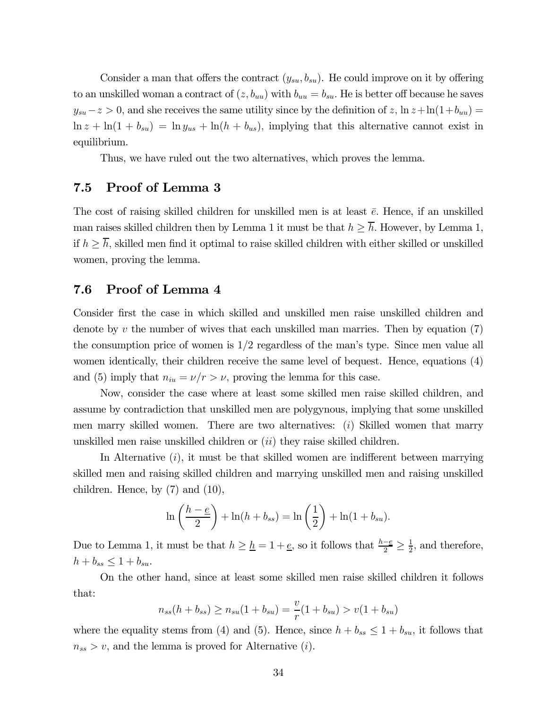Consider a man that offers the contract  $(y_{su}, b_{su})$ . He could improve on it by offering to an unskilled woman a contract of  $(z, b_{uu})$  with  $b_{uu} = b_{su}$ . He is better off because he saves  $y_{su}-z > 0$ , and she receives the same utility since by the definition of z,  $\ln z + \ln(1+b_{uu}) =$  $\ln z + \ln(1 + b_{su}) = \ln y_{us} + \ln(h + b_{us}),$  implying that this alternative cannot exist in equilibrium.

Thus, we have ruled out the two alternatives, which proves the lemma.

### 7.5 Proof of Lemma 3

The cost of raising skilled children for unskilled men is at least  $\bar{e}$ . Hence, if an unskilled man raises skilled children then by Lemma 1 it must be that  $h \geq \overline{h}$ . However, by Lemma 1, if  $h \geq \overline{h}$ , skilled men find it optimal to raise skilled children with either skilled or unskilled women, proving the lemma.

#### 7.6 Proof of Lemma 4

Consider first the case in which skilled and unskilled men raise unskilled children and denote by  $v$  the number of wives that each unskilled man marries. Then by equation  $(7)$ the consumption price of women is 1/2 regardless of the man's type. Since men value all women identically, their children receive the same level of bequest. Hence, equations (4) and (5) imply that  $n_{iu} = \nu/r > \nu$ , proving the lemma for this case.

Now, consider the case where at least some skilled men raise skilled children, and assume by contradiction that unskilled men are polygynous, implying that some unskilled men marry skilled women. There are two alternatives: (i) Skilled women that marry unskilled men raise unskilled children or  $(ii)$  they raise skilled children.

In Alternative  $(i)$ , it must be that skilled women are indifferent between marrying skilled men and raising skilled children and marrying unskilled men and raising unskilled children. Hence, by (7) and (10),

$$
\ln\left(\frac{h-\underline{e}}{2}\right) + \ln(h+b_{ss}) = \ln\left(\frac{1}{2}\right) + \ln(1+b_{su}).
$$

Due to Lemma 1, it must be that  $h \geq \underline{h} = 1 + \underline{e}$ , so it follows that  $\frac{h-\underline{e}}{2} \geq \frac{1}{2}$ , and therefore,  $h + b_{ss} \leq 1 + b_{su}.$ 

On the other hand, since at least some skilled men raise skilled children it follows that:

$$
n_{ss}(h + b_{ss}) \ge n_{su}(1 + b_{su}) = \frac{v}{r}(1 + b_{su}) > v(1 + b_{su})
$$

where the equality stems from (4) and (5). Hence, since  $h + b_{ss} \leq 1 + b_{su}$ , it follows that  $n_{ss} > v$ , and the lemma is proved for Alternative (*i*).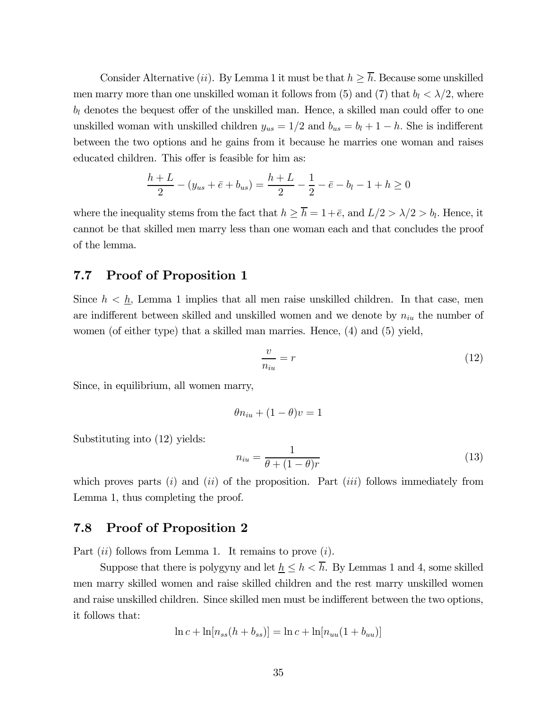Consider Alternative (ii). By Lemma 1 it must be that  $h \geq \overline{h}$ . Because some unskilled men marry more than one unskilled woman it follows from (5) and (7) that  $b_l < \lambda/2$ , where  $b_l$  denotes the bequest offer of the unskilled man. Hence, a skilled man could offer to one unskilled woman with unskilled children  $y_{us} = 1/2$  and  $b_{us} = b_l + 1 - h$ . She is indifferent between the two options and he gains from it because he marries one woman and raises educated children. This offer is feasible for him as:

$$
\frac{h+L}{2} - (y_{us} + \bar{e} + b_{us}) = \frac{h+L}{2} - \frac{1}{2} - \bar{e} - b_l - 1 + h \ge 0
$$

where the inequality stems from the fact that  $h \geq \overline{h} = 1 + \overline{e}$ , and  $L/2 > \lambda/2 > b_l$ . Hence, it cannot be that skilled men marry less than one woman each and that concludes the proof of the lemma.

### 7.7 Proof of Proposition 1

Since  $h < h$ , Lemma 1 implies that all men raise unskilled children. In that case, men are indifferent between skilled and unskilled women and we denote by  $n_{iu}$  the number of women (of either type) that a skilled man marries. Hence, (4) and (5) yield,

$$
\frac{v}{n_{iu}} = r \tag{12}
$$

Since, in equilibrium, all women marry,

$$
\theta n_{iu} + (1 - \theta)v = 1
$$

Substituting into (12) yields:

$$
n_{iu} = \frac{1}{\theta + (1 - \theta)r} \tag{13}
$$

which proves parts  $(i)$  and  $(ii)$  of the proposition. Part  $(iii)$  follows immediately from Lemma 1, thus completing the proof.

## 7.8 Proof of Proposition 2

Part  $(ii)$  follows from Lemma 1. It remains to prove  $(i)$ .

Suppose that there is polygyny and let  $\underline{h} \leq h < \overline{h}$ . By Lemmas 1 and 4, some skilled men marry skilled women and raise skilled children and the rest marry unskilled women and raise unskilled children. Since skilled men must be indifferent between the two options, it follows that:

$$
\ln c + \ln[n_{ss}(h + b_{ss})] = \ln c + \ln[n_{uu}(1 + b_{uu})]
$$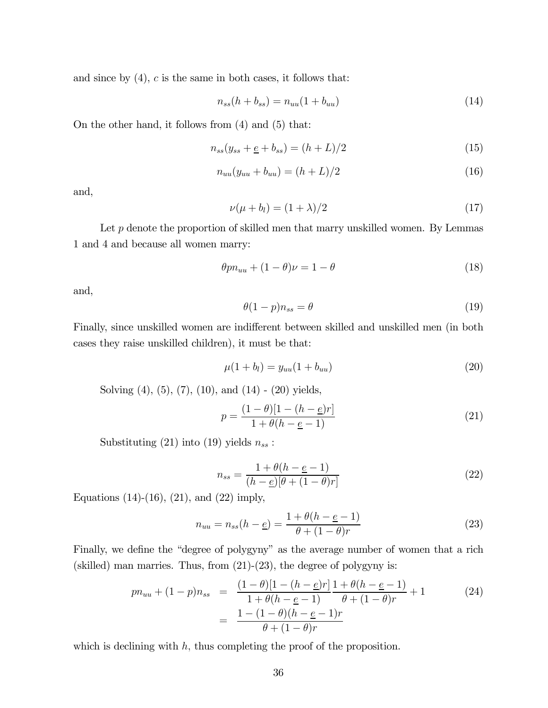and since by  $(4)$ , c is the same in both cases, it follows that:

$$
n_{ss}(h + b_{ss}) = n_{uu}(1 + b_{uu})
$$
\n(14)

On the other hand, it follows from (4) and (5) that:

$$
n_{ss}(y_{ss} + \underline{e} + b_{ss}) = (h + L)/2
$$
\n(15)

$$
n_{uu}(y_{uu} + b_{uu}) = (h+L)/2
$$
\n(16)

and,

$$
\nu(\mu + b_l) = (1 + \lambda)/2 \tag{17}
$$

Let  $p$  denote the proportion of skilled men that marry unskilled women. By Lemmas 1 and 4 and because all women marry:

$$
\theta p n_{uu} + (1 - \theta)\nu = 1 - \theta \tag{18}
$$

and,

$$
\theta(1-p)n_{ss} = \theta \tag{19}
$$

Finally, since unskilled women are indifferent between skilled and unskilled men (in both cases they raise unskilled children), it must be that:

$$
\mu(1+b_l) = y_{uu}(1+b_{uu}) \tag{20}
$$

Solving (4), (5), (7), (10), and (14) - (20) yields,

$$
p = \frac{(1 - \theta)[1 - (h - \underline{e})r]}{1 + \theta(h - \underline{e} - 1)}
$$
(21)

Substituting (21) into (19) yields  $n_{ss}$ :

$$
n_{ss} = \frac{1 + \theta(h - \underline{e} - 1)}{(h - \underline{e})[\theta + (1 - \theta)r]}
$$
\n(22)

Equations  $(14)-(16)$ ,  $(21)$ , and  $(22)$  imply,

$$
n_{uu} = n_{ss}(h - \underline{e}) = \frac{1 + \theta(h - \underline{e} - 1)}{\theta + (1 - \theta)r}
$$
 (23)

Finally, we define the "degree of polygyny" as the average number of women that a rich (skilled) man marries. Thus, from (21)-(23), the degree of polygyny is:

$$
p n_{uu} + (1-p) n_{ss} = \frac{(1-\theta)[1-(h-\underline{e})r]}{1+\theta(h-\underline{e}-1)} \frac{1+\theta(h-\underline{e}-1)}{\theta+(1-\theta)r} + 1
$$
(24)  

$$
= \frac{1-(1-\theta)(h-\underline{e}-1)r}{\theta+(1-\theta)r}
$$

which is declining with  $h$ , thus completing the proof of the proposition.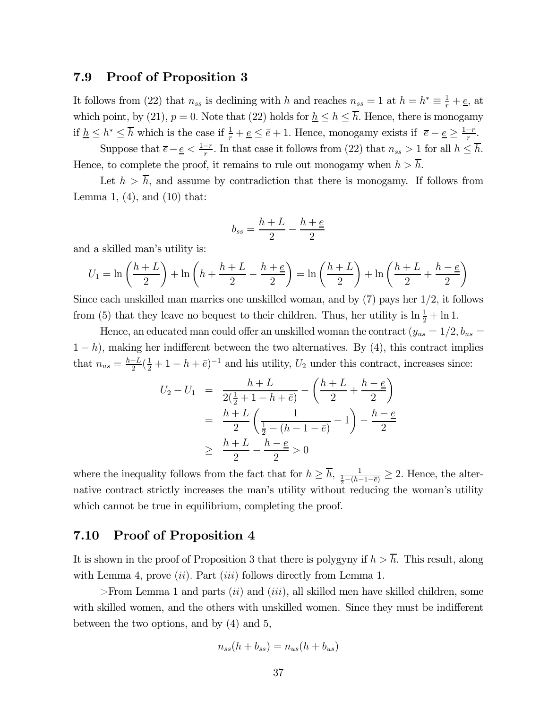#### 7.9 Proof of Proposition 3

It follows from (22) that  $n_{ss}$  is declining with h and reaches  $n_{ss} = 1$  at  $h = h^* \equiv \frac{1}{r} + \underline{e}$ , at which point, by (21),  $p = 0$ . Note that (22) holds for  $h \leq h \leq \overline{h}$ . Hence, there is monogamy if  $\underline{h} \leq h^* \leq \overline{h}$  which is the case if  $\frac{1}{r} + \underline{e} \leq \overline{e} + 1$ . Hence, monogamy exists if  $\overline{e} - \underline{e} \geq \frac{1-r}{r}$ .

Suppose that  $\overline{e} - \underline{e} < \frac{1-r}{r}$ . In that case it follows from (22) that  $n_{ss} > 1$  for all  $h \leq \overline{h}$ . Hence, to complete the proof, it remains to rule out monogamy when  $h > \overline{h}$ .

Let  $h > \overline{h}$ , and assume by contradiction that there is monogamy. If follows from Lemma 1,  $(4)$ , and  $(10)$  that:

$$
b_{ss} = \frac{h+L}{2} - \frac{h+\underline{e}}{2}
$$

and a skilled man's utility is:

$$
U_1 = \ln\left(\frac{h+L}{2}\right) + \ln\left(h + \frac{h+L}{2} - \frac{h+e}{2}\right) = \ln\left(\frac{h+L}{2}\right) + \ln\left(\frac{h+L}{2} + \frac{h-e}{2}\right)
$$

Since each unskilled man marries one unskilled woman, and by (7) pays her 1/2, it follows from (5) that they leave no bequest to their children. Thus, her utility is  $\ln \frac{1}{2} + \ln 1$ .

Hence, an educated man could offer an unskilled woman the contract  $(y_{us} = 1/2, b_{us} =$  $1-h$ , making her indifferent between the two alternatives. By (4), this contract implies that  $n_{us} = \frac{h+L}{2}(\frac{1}{2} + 1 - h + \bar{e})^{-1}$  and his utility,  $U_2$  under this contract, increases since:

$$
U_2 - U_1 = \frac{h+L}{2(\frac{1}{2} + 1 - h + \bar{e})} - \left(\frac{h+L}{2} + \frac{h-e}{2}\right)
$$
  
= 
$$
\frac{h+L}{2} \left(\frac{1}{\frac{1}{2} - (h-1-\bar{e})} - 1\right) - \frac{h-e}{2}
$$
  

$$
\geq \frac{h+L}{2} - \frac{h-e}{2} > 0
$$

where the inequality follows from the fact that for  $h \geq \overline{h}$ ,  $\frac{1}{\frac{1}{2}-(h-1-\overline{e})} \geq 2$ . Hence, the alternative contract strictly increases the man's utility without reducing the woman's utility which cannot be true in equilibrium, completing the proof.

### 7.10 Proof of Proposition 4

It is shown in the proof of Proposition 3 that there is polygyny if  $h > \overline{h}$ . This result, along with Lemma 4, prove  $(ii)$ . Part  $(iii)$  follows directly from Lemma 1.

 $>$ From Lemma 1 and parts *(ii)* and *(iii)*, all skilled men have skilled children, some with skilled women, and the others with unskilled women. Since they must be indifferent between the two options, and by (4) and 5,

$$
n_{ss}(h+b_{ss}) = n_{us}(h+b_{us})
$$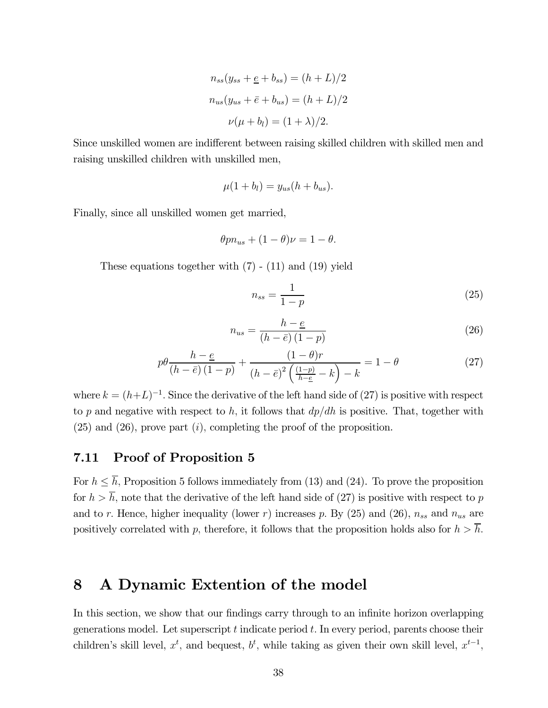$$
n_{ss}(y_{ss} + \underline{e} + b_{ss}) = (h + L)/2
$$

$$
n_{us}(y_{us} + \overline{e} + b_{us}) = (h + L)/2
$$

$$
\nu(\mu + b_l) = (1 + \lambda)/2.
$$

Since unskilled women are indifferent between raising skilled children with skilled men and raising unskilled children with unskilled men,

$$
\mu(1+b_l)=y_{us}(h+b_{us}).
$$

Finally, since all unskilled women get married,

$$
\theta p n_{us} + (1 - \theta)\nu = 1 - \theta.
$$

These equations together with (7) - (11) and (19) yield

$$
n_{ss} = \frac{1}{1-p} \tag{25}
$$

$$
n_{us} = \frac{h - \underline{e}}{(h - \bar{e})(1 - p)}
$$
\n(26)

$$
p\theta \frac{h - \underline{e}}{(h - \overline{e})(1 - p)} + \frac{(1 - \theta)r}{(h - \overline{e})^2 \left(\frac{(1 - p)}{h - \underline{e}} - k\right) - k} = 1 - \theta \tag{27}
$$

where  $k = (h+L)^{-1}$ . Since the derivative of the left hand side of (27) is positive with respect to p and negative with respect to h, it follows that  $dp/dh$  is positive. That, together with  $(25)$  and  $(26)$ , prove part  $(i)$ , completing the proof of the proposition.

### 7.11 Proof of Proposition 5

For  $h \leq \overline{h}$ , Proposition 5 follows immediately from (13) and (24). To prove the proposition for  $h > \overline{h}$ , note that the derivative of the left hand side of (27) is positive with respect to p and to r. Hence, higher inequality (lower r) increases p. By (25) and (26),  $n_{ss}$  and  $n_{us}$  are positively correlated with p, therefore, it follows that the proposition holds also for  $h > \overline{h}$ .

## 8 A Dynamic Extention of the model

In this section, we show that our findings carry through to an infinite horizon overlapping generations model. Let superscript  $t$  indicate period  $t$ . In every period, parents choose their children's skill level,  $x^t$ , and bequest,  $b^t$ , while taking as given their own skill level,  $x^{t-1}$ ,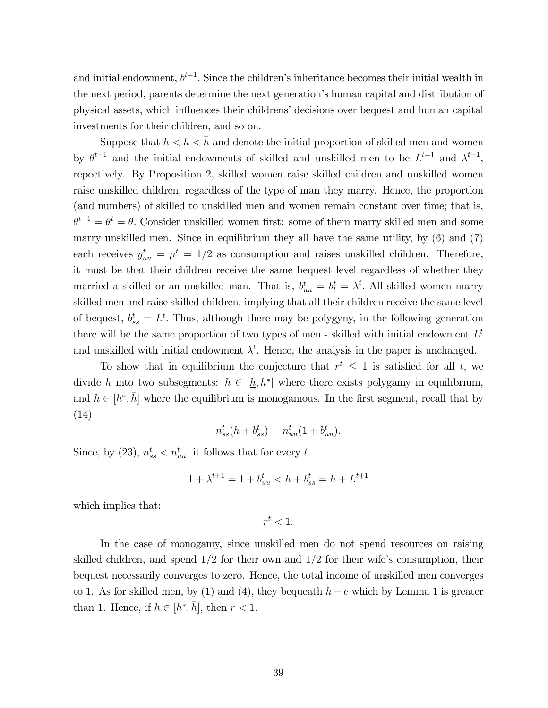and initial endowment,  $b^{t-1}$ . Since the children's inheritance becomes their initial wealth in the next period, parents determine the next generation's human capital and distribution of physical assets, which influences their childrens' decisions over bequest and human capital investments for their children, and so on.

Suppose that  $h < h < \bar{h}$  and denote the initial proportion of skilled men and women by  $\theta^{t-1}$  and the initial endowments of skilled and unskilled men to be  $L^{t-1}$  and  $\lambda^{t-1}$ , repectively. By Proposition 2, skilled women raise skilled children and unskilled women raise unskilled children, regardless of the type of man they marry. Hence, the proportion (and numbers) of skilled to unskilled men and women remain constant over time; that is,  $\theta^{t-1} = \theta^t = \theta$ . Consider unskilled women first: some of them marry skilled men and some marry unskilled men. Since in equilibrium they all have the same utility, by  $(6)$  and  $(7)$ each receives  $y_{uu}^t = \mu^t = 1/2$  as consumption and raises unskilled children. Therefore, it must be that their children receive the same bequest level regardless of whether they married a skilled or an unskilled man. That is,  $b_{uu}^t = b_l^t = \lambda^t$ . All skilled women marry skilled men and raise skilled children, implying that all their children receive the same level of bequest,  $b_{ss}^t = L^t$ . Thus, although there may be polygyny, in the following generation there will be the same proportion of two types of men - skilled with initial endowment  $L<sup>t</sup>$ and unskilled with initial endowment  $\lambda^t$ . Hence, the analysis in the paper is unchanged.

To show that in equilibrium the conjecture that  $r^t \leq 1$  is satisfied for all t, we divide h into two subsegments:  $h \in [\underline{h}, h^*]$  where there exists polygamy in equilibrium, and  $h \in [h^*, \bar{h}]$  where the equilibrium is monogamous. In the first segment, recall that by (14)

$$
n_{ss}^t(h + b_{ss}^t) = n_{uu}^t(1 + b_{uu}^t).
$$

Since, by (23),  $n_{ss}^t < n_{uu}^t$ , it follows that for every t

$$
1 + \lambda^{t+1} = 1 + b_{uu}^t < h + b_{ss}^t = h + L^{t+1}
$$

which implies that:

 $r^t < 1$ .

In the case of monogamy, since unskilled men do not spend resources on raising skilled children, and spend  $1/2$  for their own and  $1/2$  for their wife's consumption, their bequest necessarily converges to zero. Hence, the total income of unskilled men converges to 1. As for skilled men, by (1) and (4), they bequeath  $h - \underline{e}$  which by Lemma 1 is greater than 1. Hence, if  $h \in [h^*, h]$ , then  $r < 1$ .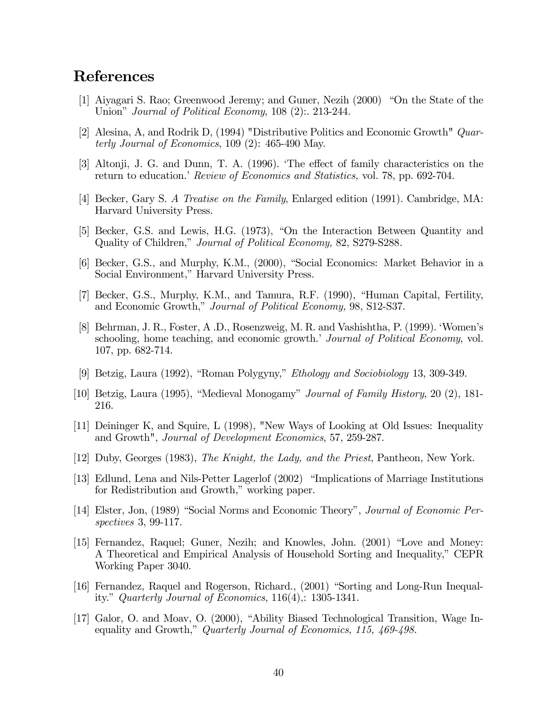# References

- [1] Aiyagari S. Rao; Greenwood Jeremy; and Guner, Nezih (2000) "On the State of the Union" Journal of Political Economy, 108 (2):. 213-244.
- [2] Alesina, A, and Rodrik D, (1994) "Distributive Politics and Economic Growth" Quarterly Journal of Economics, 109 (2): 465-490 May.
- [3] Altonji, J. G. and Dunn, T. A. (1996). 'The effect of family characteristics on the return to education.' Review of Economics and Statistics, vol. 78, pp. 692-704.
- [4] Becker, Gary S. A Treatise on the Family, Enlarged edition (1991). Cambridge, MA: Harvard University Press.
- [5] Becker, G.S. and Lewis, H.G. (1973), "On the Interaction Between Quantity and Quality of Children," Journal of Political Economy, 82, S279-S288.
- [6] Becker, G.S., and Murphy, K.M., (2000), "Social Economics: Market Behavior in a Social Environment," Harvard University Press.
- [7] Becker, G.S., Murphy, K.M., and Tamura, R.F. (1990), "Human Capital, Fertility, and Economic Growth," Journal of Political Economy, 98, S12-S37.
- [8] Behrman, J. R., Foster, A .D., Rosenzweig, M. R. and Vashishtha, P. (1999). 'Women's schooling, home teaching, and economic growth.' Journal of Political Economy, vol. 107, pp. 682-714.
- [9] Betzig, Laura (1992), "Roman Polygyny," Ethology and Sociobiology 13, 309-349.
- [10] Betzig, Laura (1995), "Medieval Monogamy" Journal of Family History, 20 (2), 181- 216.
- [11] Deininger K, and Squire, L (1998), "New Ways of Looking at Old Issues: Inequality and Growth", Journal of Development Economics, 57, 259-287.
- [12] Duby, Georges (1983), The Knight, the Lady, and the Priest, Pantheon, New York.
- [13] Edlund, Lena and Nils-Petter Lagerlof (2002) "Implications of Marriage Institutions for Redistribution and Growth," working paper.
- [14] Elster, Jon, (1989) "Social Norms and Economic Theory", Journal of Economic Perspectives 3, 99-117.
- [15] Fernandez, Raquel; Guner, Nezih; and Knowles, John. (2001) "Love and Money: A Theoretical and Empirical Analysis of Household Sorting and Inequality," CEPR Working Paper 3040.
- [16] Fernandez, Raquel and Rogerson, Richard., (2001) "Sorting and Long-Run Inequality." Quarterly Journal of Economics, 116(4),: 1305-1341.
- [17] Galor, O. and Moav, O. (2000), "Ability Biased Technological Transition, Wage Inequality and Growth," Quarterly Journal of Economics, 115, 469-498.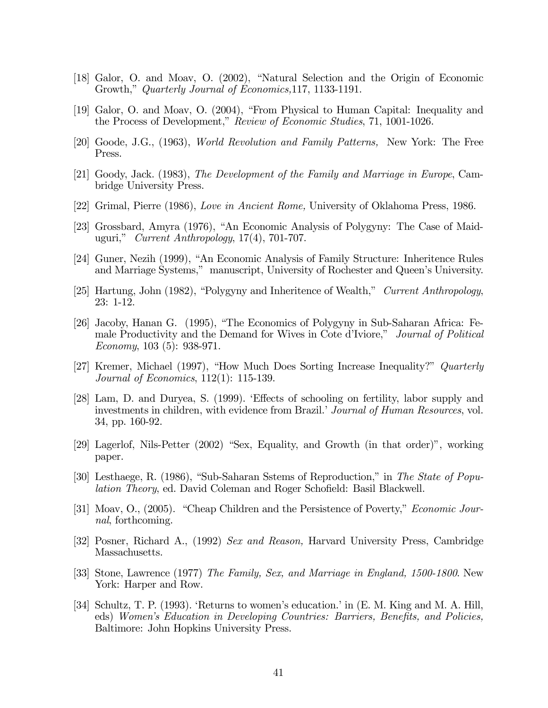- [18] Galor, O. and Moav, O. (2002), "Natural Selection and the Origin of Economic Growth," Quarterly Journal of Economics,117, 1133-1191.
- [19] Galor, O. and Moav, O. (2004), "From Physical to Human Capital: Inequality and the Process of Development," Review of Economic Studies, 71, 1001-1026.
- [20] Goode, J.G., (1963), World Revolution and Family Patterns, New York: The Free Press.
- [21] Goody, Jack. (1983), The Development of the Family and Marriage in Europe, Cambridge University Press.
- [22] Grimal, Pierre (1986), Love in Ancient Rome, University of Oklahoma Press, 1986.
- [23] Grossbard, Amyra (1976), "An Economic Analysis of Polygyny: The Case of Maiduguri," Current Anthropology,  $17(4)$ ,  $701-707$ .
- [24] Guner, Nezih (1999), "An Economic Analysis of Family Structure: Inheritence Rules and Marriage Systems," manuscript, University of Rochester and Queen's University.
- [25] Hartung, John (1982), "Polygyny and Inheritence of Wealth," Current Anthropology, 23: 1-12.
- [26] Jacoby, Hanan G. (1995), "The Economics of Polygyny in Sub-Saharan Africa: Female Productivity and the Demand for Wives in Cote d'Iviore," Journal of Political Economy, 103 (5): 938-971.
- [27] Kremer, Michael (1997), "How Much Does Sorting Increase Inequality?" Quarterly Journal of Economics, 112(1): 115-139.
- [28] Lam, D. and Duryea, S. (1999). 'Effects of schooling on fertility, labor supply and investments in children, with evidence from Brazil.' Journal of Human Resources, vol. 34, pp. 160-92.
- [29] Lagerlof, Nils-Petter (2002) "Sex, Equality, and Growth (in that order)", working paper.
- [30] Lesthaege, R. (1986), "Sub-Saharan Sstems of Reproduction," in The State of Population Theory, ed. David Coleman and Roger Schofield: Basil Blackwell.
- [31] Moav, O., (2005). "Cheap Children and the Persistence of Poverty," Economic Journal, forthcoming.
- [32] Posner, Richard A., (1992) Sex and Reason, Harvard University Press, Cambridge Massachusetts.
- [33] Stone, Lawrence (1977) The Family, Sex, and Marriage in England, 1500-1800. New York: Harper and Row.
- [34] Schultz, T. P. (1993). 'Returns to women's education.' in (E. M. King and M. A. Hill, eds) Women's Education in Developing Countries: Barriers, Benefits, and Policies, Baltimore: John Hopkins University Press.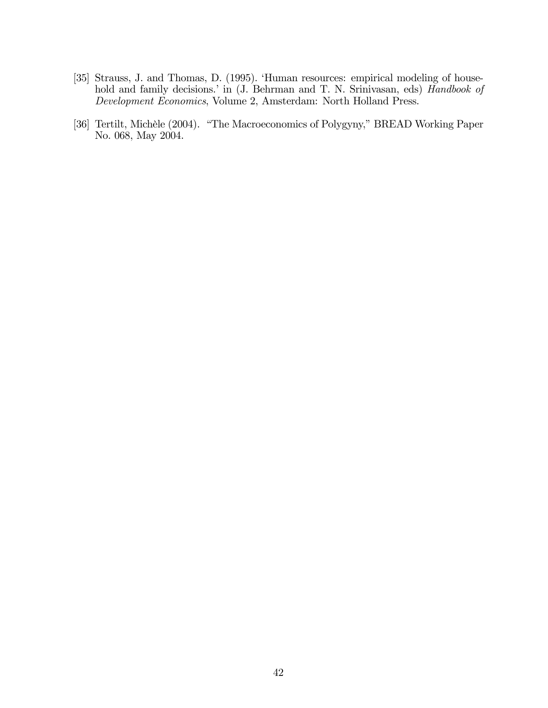- [35] Strauss, J. and Thomas, D. (1995). 'Human resources: empirical modeling of household and family decisions.' in (J. Behrman and T. N. Srinivasan, eds) Handbook of Development Economics, Volume 2, Amsterdam: North Holland Press.
- [36] Tertilt, Michèle (2004). "The Macroeconomics of Polygyny," BREAD Working Paper No. 068, May 2004.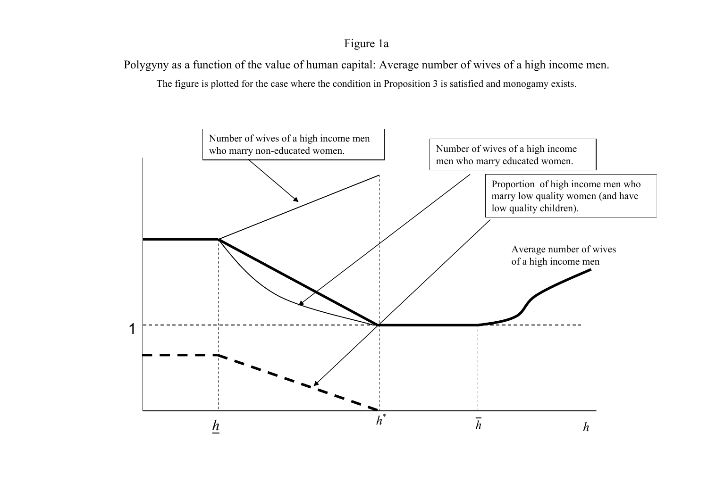## Figure 1a

Polygyny as a function of the value of human capital: Average number of wives of a high income men.

The figure is plotted for the case where the condition in Proposition 3 is satisfied and monogamy exists.

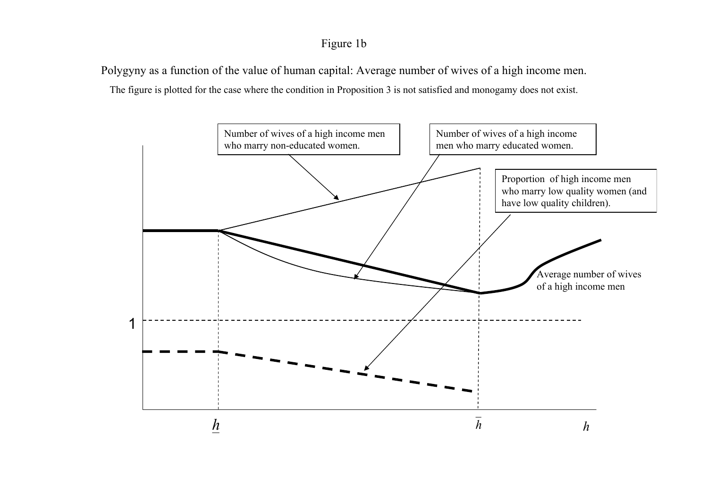## Figure 1b

Polygyny as a function of the value of human capital: Average number of wives of a high income men.

The figure is plotted for the case where the condition in Proposition 3 is not satisfied and monogamy does not exist.

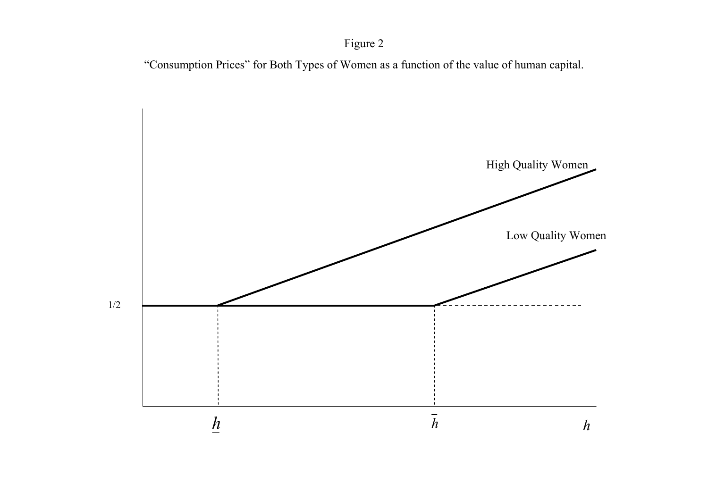Figure 2

"Consumption Prices" for Both Types of Women as a function of the value of human capital.

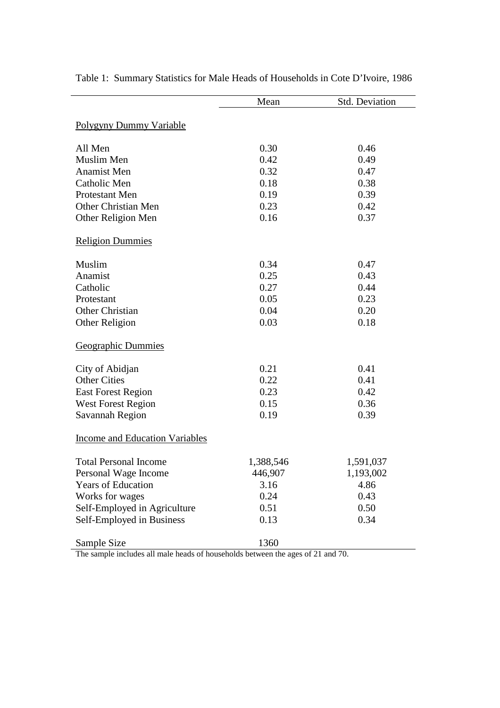|                                | Mean      | Std. Deviation |
|--------------------------------|-----------|----------------|
| Polygyny Dummy Variable        |           |                |
|                                |           |                |
| All Men                        | 0.30      | 0.46           |
| Muslim Men                     | 0.42      | 0.49           |
| <b>Anamist Men</b>             | 0.32      | 0.47           |
| Catholic Men                   | 0.18      | 0.38           |
| Protestant Men                 | 0.19      | 0.39           |
| <b>Other Christian Men</b>     | 0.23      | 0.42           |
| Other Religion Men             | 0.16      | 0.37           |
| <b>Religion Dummies</b>        |           |                |
| Muslim                         | 0.34      | 0.47           |
| Anamist                        | 0.25      | 0.43           |
| Catholic                       | 0.27      | 0.44           |
| Protestant                     | 0.05      | 0.23           |
| Other Christian                | 0.04      | 0.20           |
| Other Religion                 | 0.03      | 0.18           |
| <b>Geographic Dummies</b>      |           |                |
| City of Abidjan                | 0.21      | 0.41           |
| <b>Other Cities</b>            | 0.22      | 0.41           |
| <b>East Forest Region</b>      | 0.23      | 0.42           |
| <b>West Forest Region</b>      | 0.15      | 0.36           |
| Savannah Region                | 0.19      | 0.39           |
| Income and Education Variables |           |                |
| <b>Total Personal Income</b>   | 1,388,546 | 1,591,037      |
| Personal Wage Income           | 446,907   | 1,193,002      |
| <b>Years of Education</b>      | 3.16      | 4.86           |
| Works for wages                | 0.24      | 0.43           |
| Self-Employed in Agriculture   | 0.51      | 0.50           |
| Self-Employed in Business      | 0.13      | 0.34           |
| Sample Size                    | 1360      |                |

Table 1: Summary Statistics for Male Heads of Households in Cote D'Ivoire, 1986

The sample includes all male heads of households between the ages of 21 and 70.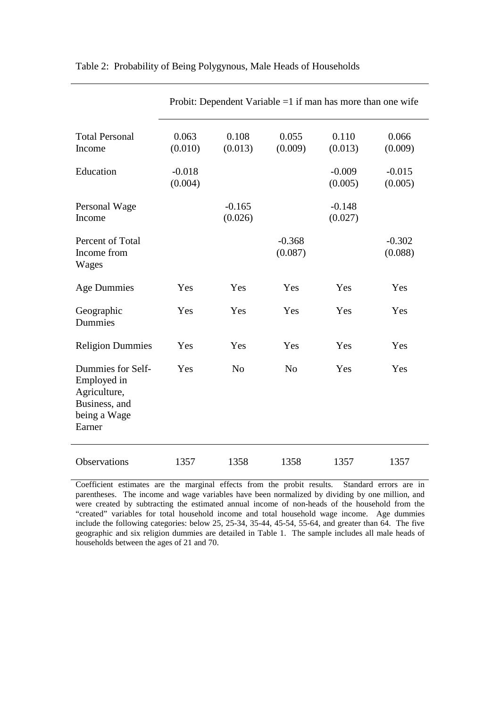|                                                                                             | Probit: Dependent Variable $=1$ if man has more than one wife |                     |                     |                     |                     |
|---------------------------------------------------------------------------------------------|---------------------------------------------------------------|---------------------|---------------------|---------------------|---------------------|
| <b>Total Personal</b><br>Income                                                             | 0.063<br>(0.010)                                              | 0.108<br>(0.013)    | 0.055<br>(0.009)    | 0.110<br>(0.013)    | 0.066<br>(0.009)    |
| Education                                                                                   | $-0.018$<br>(0.004)                                           |                     |                     | $-0.009$<br>(0.005) | $-0.015$<br>(0.005) |
| Personal Wage<br>Income                                                                     |                                                               | $-0.165$<br>(0.026) |                     | $-0.148$<br>(0.027) |                     |
| Percent of Total<br>Income from<br>Wages                                                    |                                                               |                     | $-0.368$<br>(0.087) |                     | $-0.302$<br>(0.088) |
| <b>Age Dummies</b>                                                                          | Yes                                                           | Yes                 | Yes                 | Yes                 | Yes                 |
| Geographic<br>Dummies                                                                       | Yes                                                           | Yes                 | Yes                 | Yes                 | Yes                 |
| <b>Religion Dummies</b>                                                                     | Yes                                                           | Yes                 | Yes                 | Yes                 | Yes                 |
| Dummies for Self-<br>Employed in<br>Agriculture,<br>Business, and<br>being a Wage<br>Earner | Yes                                                           | N <sub>o</sub>      | N <sub>o</sub>      | Yes                 | Yes                 |
| Observations                                                                                | 1357                                                          | 1358                | 1358                | 1357                | 1357                |

|  |  |  |  |  | Table 2: Probability of Being Polygynous, Male Heads of Households |
|--|--|--|--|--|--------------------------------------------------------------------|
|--|--|--|--|--|--------------------------------------------------------------------|

Coefficient estimates are the marginal effects from the probit results. Standard errors are in parentheses. The income and wage variables have been normalized by dividing by one million, and were created by subtracting the estimated annual income of non-heads of the household from the "created" variables for total household income and total household wage income. Age dummies include the following categories: below 25, 25-34, 35-44, 45-54, 55-64, and greater than 64. The five geographic and six religion dummies are detailed in Table 1. The sample includes all male heads of households between the ages of 21 and 70.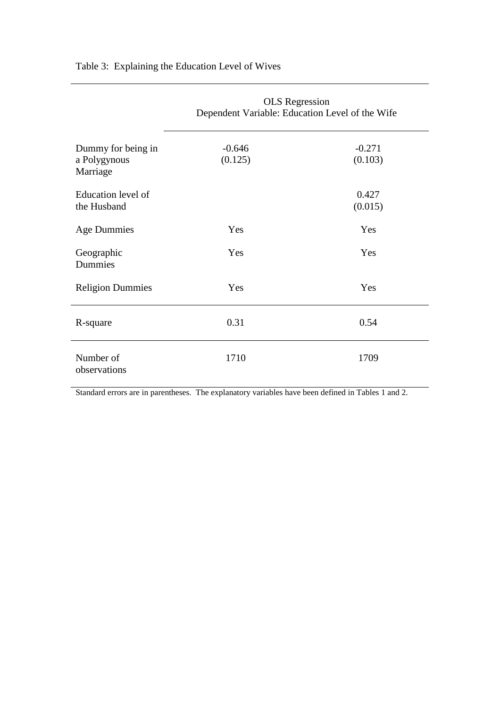|                                                | <b>OLS</b> Regression<br>Dependent Variable: Education Level of the Wife |                     |  |  |
|------------------------------------------------|--------------------------------------------------------------------------|---------------------|--|--|
| Dummy for being in<br>a Polygynous<br>Marriage | $-0.646$<br>(0.125)                                                      | $-0.271$<br>(0.103) |  |  |
| <b>Education</b> level of<br>the Husband       |                                                                          | 0.427<br>(0.015)    |  |  |
| <b>Age Dummies</b>                             | Yes                                                                      | Yes                 |  |  |
| Geographic<br>Dummies                          | Yes                                                                      | Yes                 |  |  |
| <b>Religion Dummies</b>                        | Yes                                                                      | Yes                 |  |  |
| R-square                                       | 0.31                                                                     | 0.54                |  |  |
| Number of<br>observations                      | 1710                                                                     | 1709                |  |  |

Table 3: Explaining the Education Level of Wives

Standard errors are in parentheses. The explanatory variables have been defined in Tables 1 and 2.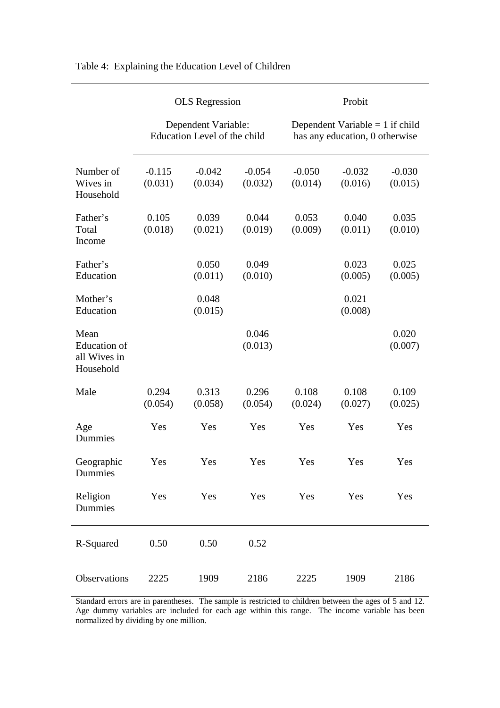|                                                          | <b>OLS</b> Regression                               |                     |                                                                     | Probit              |                     |                     |
|----------------------------------------------------------|-----------------------------------------------------|---------------------|---------------------------------------------------------------------|---------------------|---------------------|---------------------|
|                                                          | Dependent Variable:<br>Education Level of the child |                     | Dependent Variable $= 1$ if child<br>has any education, 0 otherwise |                     |                     |                     |
| Number of<br>Wives in<br>Household                       | $-0.115$<br>(0.031)                                 | $-0.042$<br>(0.034) | $-0.054$<br>(0.032)                                                 | $-0.050$<br>(0.014) | $-0.032$<br>(0.016) | $-0.030$<br>(0.015) |
| Father's<br>Total<br>Income                              | 0.105<br>(0.018)                                    | 0.039<br>(0.021)    | 0.044<br>(0.019)                                                    | 0.053<br>(0.009)    | 0.040<br>(0.011)    | 0.035<br>(0.010)    |
| Father's<br>Education                                    |                                                     | 0.050<br>(0.011)    | 0.049<br>(0.010)                                                    |                     | 0.023<br>(0.005)    | 0.025<br>(0.005)    |
| Mother's<br>Education                                    |                                                     | 0.048<br>(0.015)    |                                                                     |                     | 0.021<br>(0.008)    |                     |
| Mean<br><b>Education</b> of<br>all Wives in<br>Household |                                                     |                     | 0.046<br>(0.013)                                                    |                     |                     | 0.020<br>(0.007)    |
| Male                                                     | 0.294<br>(0.054)                                    | 0.313<br>(0.058)    | 0.296<br>(0.054)                                                    | 0.108<br>(0.024)    | 0.108<br>(0.027)    | 0.109<br>(0.025)    |
| Age<br>Dummies                                           | Yes                                                 | Yes                 | Yes                                                                 | Yes                 | Yes                 | Yes                 |
| Geographic<br>Dummies                                    | Yes                                                 | Yes                 | Yes                                                                 | Yes                 | Yes                 | Yes                 |
| Religion<br>Dummies                                      | Yes                                                 | Yes                 | Yes                                                                 | Yes                 | Yes                 | Yes                 |
| R-Squared                                                | 0.50                                                | 0.50                | 0.52                                                                |                     |                     |                     |
| Observations                                             | 2225                                                | 1909                | 2186                                                                | 2225                | 1909                | 2186                |

### Table 4: Explaining the Education Level of Children

Standard errors are in parentheses. The sample is restricted to children between the ages of 5 and 12. Age dummy variables are included for each age within this range. The income variable has been normalized by dividing by one million.